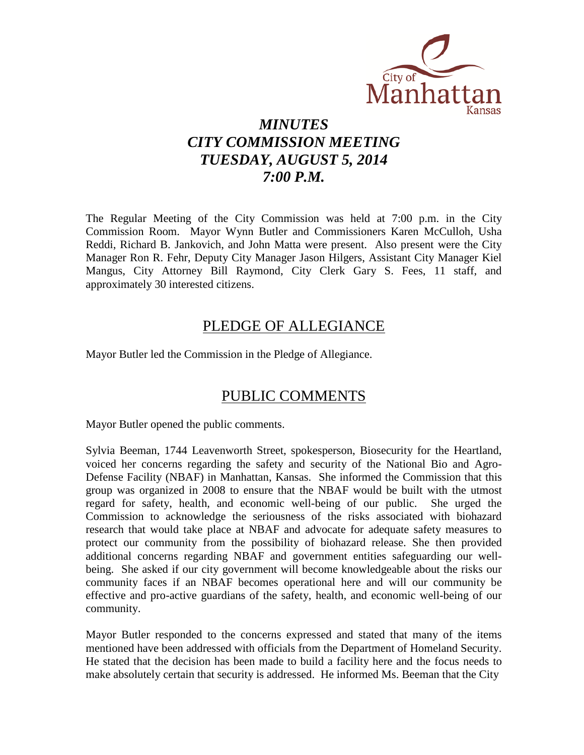

# *MINUTES CITY COMMISSION MEETING TUESDAY, AUGUST 5, 2014 7:00 P.M.*

The Regular Meeting of the City Commission was held at 7:00 p.m. in the City Commission Room. Mayor Wynn Butler and Commissioners Karen McCulloh, Usha Reddi, Richard B. Jankovich, and John Matta were present. Also present were the City Manager Ron R. Fehr, Deputy City Manager Jason Hilgers, Assistant City Manager Kiel Mangus, City Attorney Bill Raymond, City Clerk Gary S. Fees, 11 staff, and approximately 30 interested citizens.

### PLEDGE OF ALLEGIANCE

Mayor Butler led the Commission in the Pledge of Allegiance.

# PUBLIC COMMENTS

Mayor Butler opened the public comments.

Sylvia Beeman, 1744 Leavenworth Street, spokesperson, Biosecurity for the Heartland, voiced her concerns regarding the safety and security of the National Bio and Agro-Defense Facility (NBAF) in Manhattan, Kansas. She informed the Commission that this group was organized in 2008 to ensure that the NBAF would be built with the utmost regard for safety, health, and economic well-being of our public. She urged the Commission to acknowledge the seriousness of the risks associated with biohazard research that would take place at NBAF and advocate for adequate safety measures to protect our community from the possibility of biohazard release. She then provided additional concerns regarding NBAF and government entities safeguarding our wellbeing. She asked if our city government will become knowledgeable about the risks our community faces if an NBAF becomes operational here and will our community be effective and pro-active guardians of the safety, health, and economic well-being of our community.

Mayor Butler responded to the concerns expressed and stated that many of the items mentioned have been addressed with officials from the Department of Homeland Security. He stated that the decision has been made to build a facility here and the focus needs to make absolutely certain that security is addressed. He informed Ms. Beeman that the City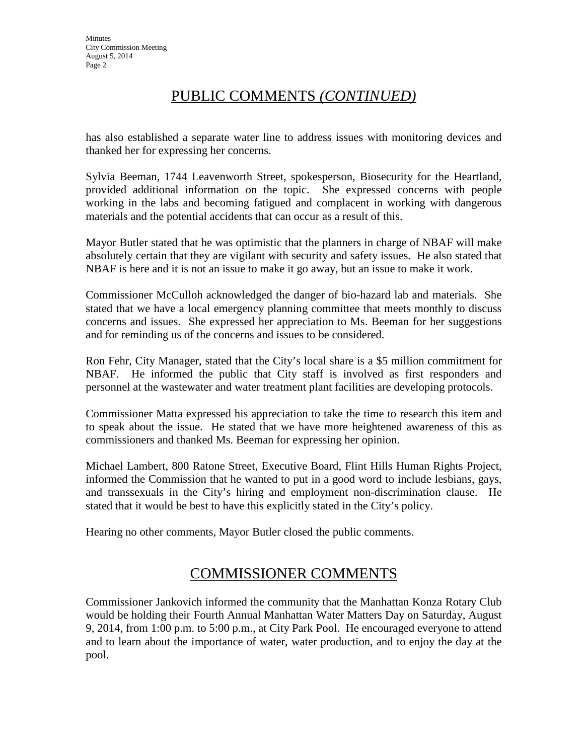# PUBLIC COMMENTS *(CONTINUED)*

has also established a separate water line to address issues with monitoring devices and thanked her for expressing her concerns.

Sylvia Beeman, 1744 Leavenworth Street, spokesperson, Biosecurity for the Heartland, provided additional information on the topic. She expressed concerns with people working in the labs and becoming fatigued and complacent in working with dangerous materials and the potential accidents that can occur as a result of this.

Mayor Butler stated that he was optimistic that the planners in charge of NBAF will make absolutely certain that they are vigilant with security and safety issues. He also stated that NBAF is here and it is not an issue to make it go away, but an issue to make it work.

Commissioner McCulloh acknowledged the danger of bio-hazard lab and materials. She stated that we have a local emergency planning committee that meets monthly to discuss concerns and issues. She expressed her appreciation to Ms. Beeman for her suggestions and for reminding us of the concerns and issues to be considered.

Ron Fehr, City Manager, stated that the City's local share is a \$5 million commitment for NBAF. He informed the public that City staff is involved as first responders and personnel at the wastewater and water treatment plant facilities are developing protocols.

Commissioner Matta expressed his appreciation to take the time to research this item and to speak about the issue. He stated that we have more heightened awareness of this as commissioners and thanked Ms. Beeman for expressing her opinion.

Michael Lambert, 800 Ratone Street, Executive Board, Flint Hills Human Rights Project, informed the Commission that he wanted to put in a good word to include lesbians, gays, and transsexuals in the City's hiring and employment non-discrimination clause. He stated that it would be best to have this explicitly stated in the City's policy.

Hearing no other comments, Mayor Butler closed the public comments.

# COMMISSIONER COMMENTS

Commissioner Jankovich informed the community that the Manhattan Konza Rotary Club would be holding their Fourth Annual Manhattan Water Matters Day on Saturday, August 9, 2014, from 1:00 p.m. to 5:00 p.m., at City Park Pool. He encouraged everyone to attend and to learn about the importance of water, water production, and to enjoy the day at the pool.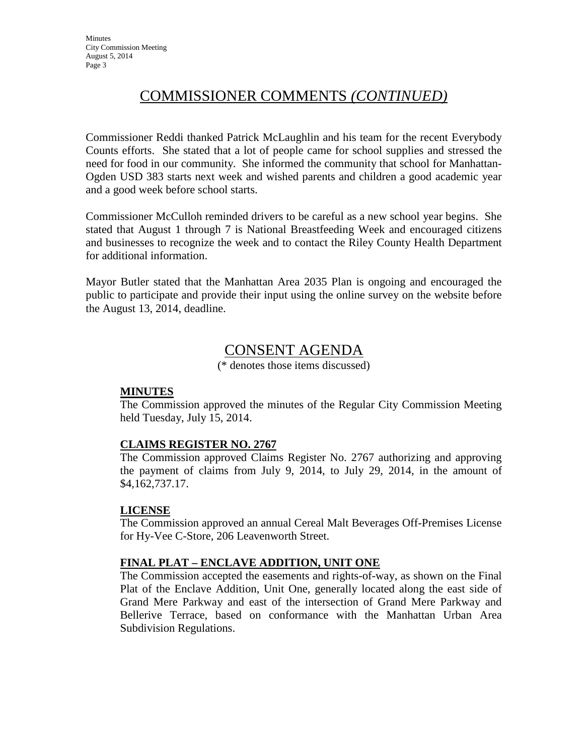# COMMISSIONER COMMENTS *(CONTINUED)*

Commissioner Reddi thanked Patrick McLaughlin and his team for the recent Everybody Counts efforts. She stated that a lot of people came for school supplies and stressed the need for food in our community. She informed the community that school for Manhattan-Ogden USD 383 starts next week and wished parents and children a good academic year and a good week before school starts.

Commissioner McCulloh reminded drivers to be careful as a new school year begins. She stated that August 1 through 7 is National Breastfeeding Week and encouraged citizens and businesses to recognize the week and to contact the Riley County Health Department for additional information.

Mayor Butler stated that the Manhattan Area 2035 Plan is ongoing and encouraged the public to participate and provide their input using the online survey on the website before the August 13, 2014, deadline.

# CONSENT AGENDA

(\* denotes those items discussed)

#### **MINUTES**

The Commission approved the minutes of the Regular City Commission Meeting held Tuesday, July 15, 2014.

#### **CLAIMS REGISTER NO. 2767**

The Commission approved Claims Register No. 2767 authorizing and approving the payment of claims from July 9, 2014, to July 29, 2014, in the amount of \$4,162,737.17.

#### **LICENSE**

The Commission approved an annual Cereal Malt Beverages Off-Premises License for Hy-Vee C-Store, 206 Leavenworth Street.

#### **FINAL PLAT – ENCLAVE ADDITION, UNIT ONE**

The Commission accepted the easements and rights-of-way, as shown on the Final Plat of the Enclave Addition, Unit One, generally located along the east side of Grand Mere Parkway and east of the intersection of Grand Mere Parkway and Bellerive Terrace, based on conformance with the Manhattan Urban Area Subdivision Regulations.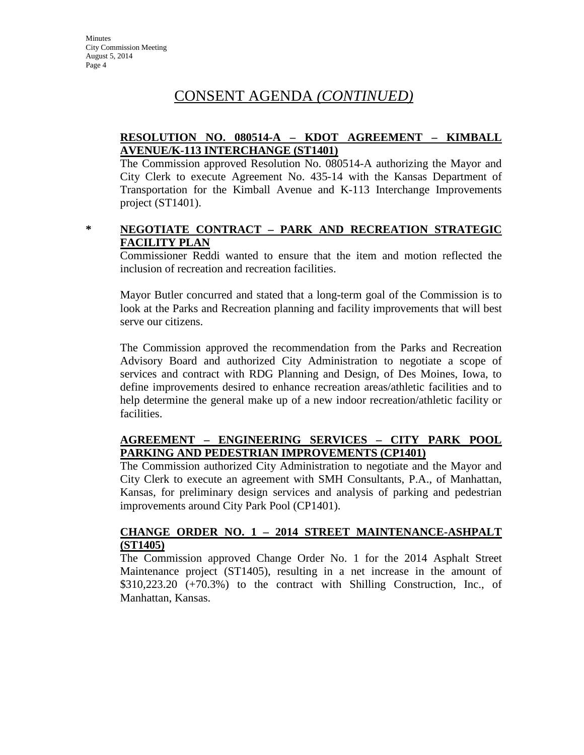#### **RESOLUTION NO. 080514-A – KDOT AGREEMENT – KIMBALL AVENUE/K-113 INTERCHANGE (ST1401)**

The Commission approved Resolution No. 080514-A authorizing the Mayor and City Clerk to execute Agreement No. 435-14 with the Kansas Department of Transportation for the Kimball Avenue and K-113 Interchange Improvements project (ST1401).

#### **\* NEGOTIATE CONTRACT – PARK AND RECREATION STRATEGIC FACILITY PLAN**

Commissioner Reddi wanted to ensure that the item and motion reflected the inclusion of recreation and recreation facilities.

Mayor Butler concurred and stated that a long-term goal of the Commission is to look at the Parks and Recreation planning and facility improvements that will best serve our citizens.

The Commission approved the recommendation from the Parks and Recreation Advisory Board and authorized City Administration to negotiate a scope of services and contract with RDG Planning and Design, of Des Moines, Iowa, to define improvements desired to enhance recreation areas/athletic facilities and to help determine the general make up of a new indoor recreation/athletic facility or facilities.

#### **AGREEMENT – ENGINEERING SERVICES – CITY PARK POOL PARKING AND PEDESTRIAN IMPROVEMENTS (CP1401)**

The Commission authorized City Administration to negotiate and the Mayor and City Clerk to execute an agreement with SMH Consultants, P.A., of Manhattan, Kansas, for preliminary design services and analysis of parking and pedestrian improvements around City Park Pool (CP1401).

#### **CHANGE ORDER NO. 1 – 2014 STREET MAINTENANCE-ASHPALT (ST1405)**

The Commission approved Change Order No. 1 for the 2014 Asphalt Street Maintenance project (ST1405), resulting in a net increase in the amount of \$310,223.20 (+70.3%) to the contract with Shilling Construction, Inc., of Manhattan, Kansas.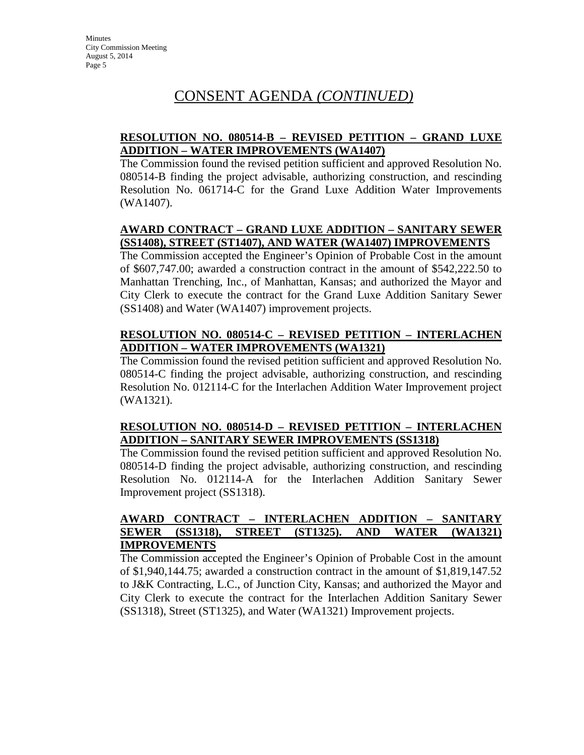#### **RESOLUTION NO. 080514-B – REVISED PETITION – GRAND LUXE ADDITION – WATER IMPROVEMENTS (WA1407)**

The Commission found the revised petition sufficient and approved Resolution No. 080514-B finding the project advisable, authorizing construction, and rescinding Resolution No. 061714-C for the Grand Luxe Addition Water Improvements (WA1407).

### **AWARD CONTRACT – GRAND LUXE ADDITION – SANITARY SEWER (SS1408), STREET (ST1407), AND WATER (WA1407) IMPROVEMENTS**

The Commission accepted the Engineer's Opinion of Probable Cost in the amount of \$607,747.00; awarded a construction contract in the amount of \$542,222.50 to Manhattan Trenching, Inc., of Manhattan, Kansas; and authorized the Mayor and City Clerk to execute the contract for the Grand Luxe Addition Sanitary Sewer (SS1408) and Water (WA1407) improvement projects.

#### **RESOLUTION NO. 080514-C – REVISED PETITION – INTERLACHEN ADDITION – WATER IMPROVEMENTS (WA1321)**

The Commission found the revised petition sufficient and approved Resolution No. 080514-C finding the project advisable, authorizing construction, and rescinding Resolution No. 012114-C for the Interlachen Addition Water Improvement project (WA1321).

### **RESOLUTION NO. 080514-D – REVISED PETITION – INTERLACHEN ADDITION – SANITARY SEWER IMPROVEMENTS (SS1318)**

The Commission found the revised petition sufficient and approved Resolution No. 080514-D finding the project advisable, authorizing construction, and rescinding Resolution No. 012114-A for the Interlachen Addition Sanitary Sewer Improvement project (SS1318).

#### **AWARD CONTRACT – INTERLACHEN ADDITION – SANITARY SEWER (SS1318), STREET (ST1325). AND WATER (WA1321) IMPROVEMENTS**

The Commission accepted the Engineer's Opinion of Probable Cost in the amount of \$1,940,144.75; awarded a construction contract in the amount of \$1,819,147.52 to J&K Contracting, L.C., of Junction City, Kansas; and authorized the Mayor and City Clerk to execute the contract for the Interlachen Addition Sanitary Sewer (SS1318), Street (ST1325), and Water (WA1321) Improvement projects.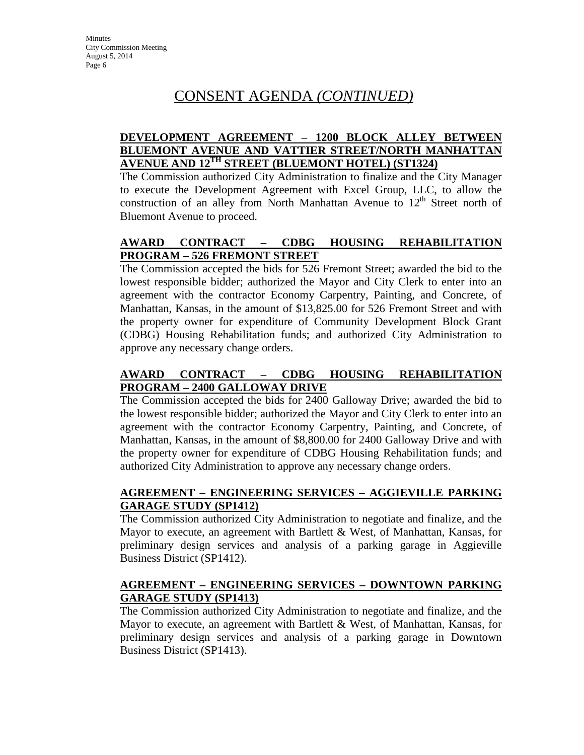#### **DEVELOPMENT AGREEMENT – 1200 BLOCK ALLEY BETWEEN BLUEMONT AVENUE AND VATTIER STREET/NORTH MANHATTAN AVENUE AND 12TH STREET (BLUEMONT HOTEL) (ST1324)**

The Commission authorized City Administration to finalize and the City Manager to execute the Development Agreement with Excel Group, LLC, to allow the construction of an alley from North Manhattan Avenue to  $12<sup>th</sup>$  Street north of Bluemont Avenue to proceed.

### **AWARD CONTRACT – CDBG HOUSING REHABILITATION PROGRAM – 526 FREMONT STREET**

The Commission accepted the bids for 526 Fremont Street; awarded the bid to the lowest responsible bidder; authorized the Mayor and City Clerk to enter into an agreement with the contractor Economy Carpentry, Painting, and Concrete, of Manhattan, Kansas, in the amount of \$13,825.00 for 526 Fremont Street and with the property owner for expenditure of Community Development Block Grant (CDBG) Housing Rehabilitation funds; and authorized City Administration to approve any necessary change orders.

### **AWARD CONTRACT – CDBG HOUSING REHABILITATION PROGRAM – 2400 GALLOWAY DRIVE**

The Commission accepted the bids for 2400 Galloway Drive; awarded the bid to the lowest responsible bidder; authorized the Mayor and City Clerk to enter into an agreement with the contractor Economy Carpentry, Painting, and Concrete, of Manhattan, Kansas, in the amount of \$8,800.00 for 2400 Galloway Drive and with the property owner for expenditure of CDBG Housing Rehabilitation funds; and authorized City Administration to approve any necessary change orders.

### **AGREEMENT – ENGINEERING SERVICES – AGGIEVILLE PARKING GARAGE STUDY (SP1412)**

The Commission authorized City Administration to negotiate and finalize, and the Mayor to execute, an agreement with Bartlett & West, of Manhattan, Kansas, for preliminary design services and analysis of a parking garage in Aggieville Business District (SP1412).

#### **AGREEMENT – ENGINEERING SERVICES – DOWNTOWN PARKING GARAGE STUDY (SP1413)**

The Commission authorized City Administration to negotiate and finalize, and the Mayor to execute, an agreement with Bartlett & West, of Manhattan, Kansas, for preliminary design services and analysis of a parking garage in Downtown Business District (SP1413).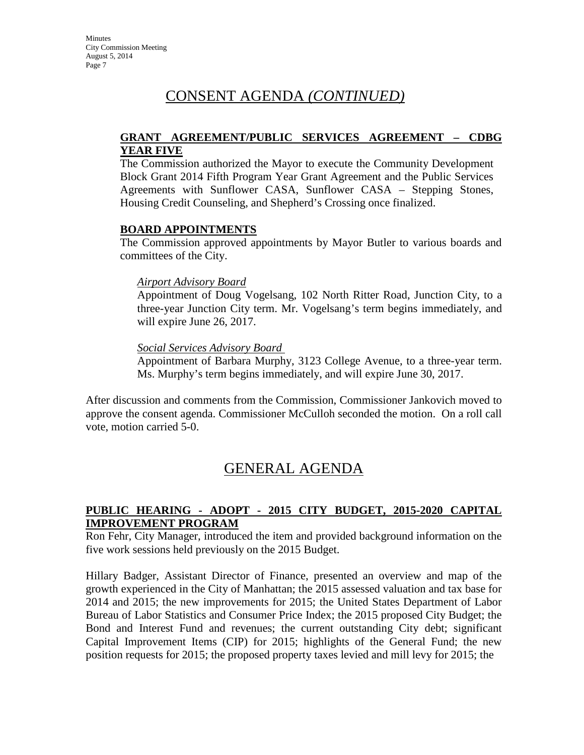#### **GRANT AGREEMENT/PUBLIC SERVICES AGREEMENT – CDBG YEAR FIVE**

The Commission authorized the Mayor to execute the Community Development Block Grant 2014 Fifth Program Year Grant Agreement and the Public Services Agreements with Sunflower CASA, Sunflower CASA – Stepping Stones, Housing Credit Counseling, and Shepherd's Crossing once finalized.

#### **BOARD APPOINTMENTS**

The Commission approved appointments by Mayor Butler to various boards and committees of the City.

#### *Airport Advisory Board*

Appointment of Doug Vogelsang, 102 North Ritter Road, Junction City, to a three-year Junction City term. Mr. Vogelsang's term begins immediately, and will expire June 26, 2017.

#### *Social Services Advisory Board*

Appointment of Barbara Murphy, 3123 College Avenue, to a three-year term. Ms. Murphy's term begins immediately, and will expire June 30, 2017.

After discussion and comments from the Commission, Commissioner Jankovich moved to approve the consent agenda. Commissioner McCulloh seconded the motion. On a roll call vote, motion carried 5-0.

# GENERAL AGENDA

#### **PUBLIC HEARING - ADOPT - 2015 CITY BUDGET, 2015-2020 CAPITAL IMPROVEMENT PROGRAM**

Ron Fehr, City Manager, introduced the item and provided background information on the five work sessions held previously on the 2015 Budget.

Hillary Badger, Assistant Director of Finance, presented an overview and map of the growth experienced in the City of Manhattan; the 2015 assessed valuation and tax base for 2014 and 2015; the new improvements for 2015; the United States Department of Labor Bureau of Labor Statistics and Consumer Price Index; the 2015 proposed City Budget; the Bond and Interest Fund and revenues; the current outstanding City debt; significant Capital Improvement Items (CIP) for 2015; highlights of the General Fund; the new position requests for 2015; the proposed property taxes levied and mill levy for 2015; the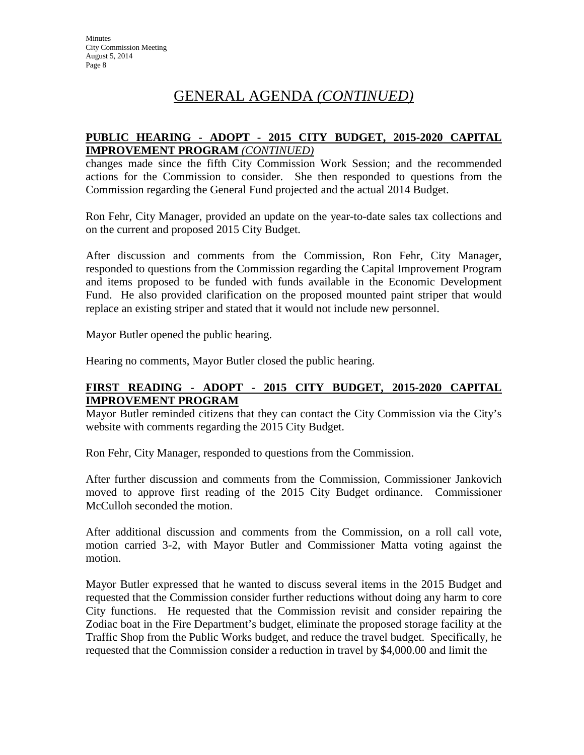# GENERAL AGENDA *(CONTINUED)*

#### **PUBLIC HEARING - ADOPT - 2015 CITY BUDGET, 2015-2020 CAPITAL IMPROVEMENT PROGRAM** *(CONTINUED)*

changes made since the fifth City Commission Work Session; and the recommended actions for the Commission to consider. She then responded to questions from the Commission regarding the General Fund projected and the actual 2014 Budget.

Ron Fehr, City Manager, provided an update on the year-to-date sales tax collections and on the current and proposed 2015 City Budget.

After discussion and comments from the Commission, Ron Fehr, City Manager, responded to questions from the Commission regarding the Capital Improvement Program and items proposed to be funded with funds available in the Economic Development Fund. He also provided clarification on the proposed mounted paint striper that would replace an existing striper and stated that it would not include new personnel.

Mayor Butler opened the public hearing.

Hearing no comments, Mayor Butler closed the public hearing.

### **FIRST READING - ADOPT - 2015 CITY BUDGET, 2015-2020 CAPITAL IMPROVEMENT PROGRAM**

Mayor Butler reminded citizens that they can contact the City Commission via the City's website with comments regarding the 2015 City Budget.

Ron Fehr, City Manager, responded to questions from the Commission.

After further discussion and comments from the Commission, Commissioner Jankovich moved to approve first reading of the 2015 City Budget ordinance. Commissioner McCulloh seconded the motion.

After additional discussion and comments from the Commission, on a roll call vote, motion carried 3-2, with Mayor Butler and Commissioner Matta voting against the motion.

Mayor Butler expressed that he wanted to discuss several items in the 2015 Budget and requested that the Commission consider further reductions without doing any harm to core City functions. He requested that the Commission revisit and consider repairing the Zodiac boat in the Fire Department's budget, eliminate the proposed storage facility at the Traffic Shop from the Public Works budget, and reduce the travel budget. Specifically, he requested that the Commission consider a reduction in travel by \$4,000.00 and limit the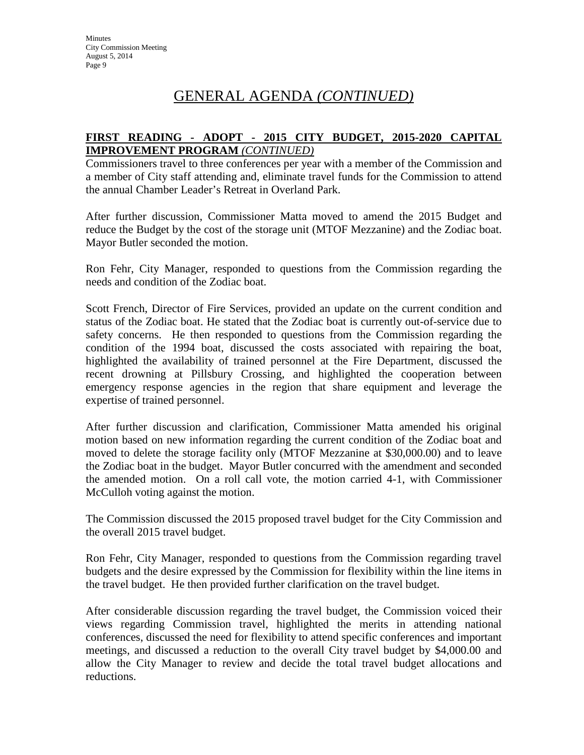# GENERAL AGENDA *(CONTINUED)*

#### **FIRST READING - ADOPT - 2015 CITY BUDGET, 2015-2020 CAPITAL IMPROVEMENT PROGRAM** *(CONTINUED)*

Commissioners travel to three conferences per year with a member of the Commission and a member of City staff attending and, eliminate travel funds for the Commission to attend the annual Chamber Leader's Retreat in Overland Park.

After further discussion, Commissioner Matta moved to amend the 2015 Budget and reduce the Budget by the cost of the storage unit (MTOF Mezzanine) and the Zodiac boat. Mayor Butler seconded the motion.

Ron Fehr, City Manager, responded to questions from the Commission regarding the needs and condition of the Zodiac boat.

Scott French, Director of Fire Services, provided an update on the current condition and status of the Zodiac boat. He stated that the Zodiac boat is currently out-of-service due to safety concerns. He then responded to questions from the Commission regarding the condition of the 1994 boat, discussed the costs associated with repairing the boat, highlighted the availability of trained personnel at the Fire Department, discussed the recent drowning at Pillsbury Crossing, and highlighted the cooperation between emergency response agencies in the region that share equipment and leverage the expertise of trained personnel.

After further discussion and clarification, Commissioner Matta amended his original motion based on new information regarding the current condition of the Zodiac boat and moved to delete the storage facility only (MTOF Mezzanine at \$30,000.00) and to leave the Zodiac boat in the budget. Mayor Butler concurred with the amendment and seconded the amended motion. On a roll call vote, the motion carried 4-1, with Commissioner McCulloh voting against the motion.

The Commission discussed the 2015 proposed travel budget for the City Commission and the overall 2015 travel budget.

Ron Fehr, City Manager, responded to questions from the Commission regarding travel budgets and the desire expressed by the Commission for flexibility within the line items in the travel budget. He then provided further clarification on the travel budget.

After considerable discussion regarding the travel budget, the Commission voiced their views regarding Commission travel, highlighted the merits in attending national conferences, discussed the need for flexibility to attend specific conferences and important meetings, and discussed a reduction to the overall City travel budget by \$4,000.00 and allow the City Manager to review and decide the total travel budget allocations and reductions.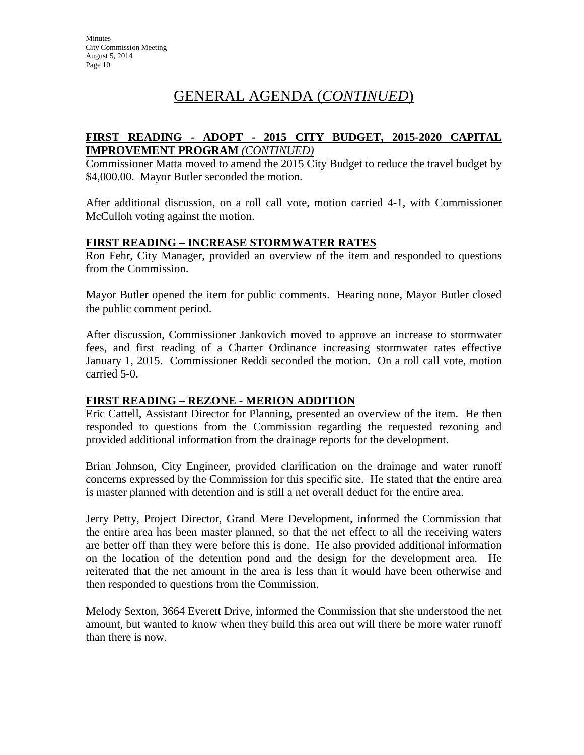# GENERAL AGENDA (*CONTINUED*)

#### **FIRST READING - ADOPT - 2015 CITY BUDGET, 2015-2020 CAPITAL IMPROVEMENT PROGRAM** *(CONTINUED)*

Commissioner Matta moved to amend the 2015 City Budget to reduce the travel budget by \$4,000.00. Mayor Butler seconded the motion.

After additional discussion, on a roll call vote, motion carried 4-1, with Commissioner McCulloh voting against the motion.

#### **FIRST READING – INCREASE STORMWATER RATES**

Ron Fehr, City Manager, provided an overview of the item and responded to questions from the Commission.

Mayor Butler opened the item for public comments. Hearing none, Mayor Butler closed the public comment period.

After discussion, Commissioner Jankovich moved to approve an increase to stormwater fees, and first reading of a Charter Ordinance increasing stormwater rates effective January 1, 2015. Commissioner Reddi seconded the motion. On a roll call vote, motion carried 5-0.

#### **FIRST READING – REZONE - MERION ADDITION**

Eric Cattell, Assistant Director for Planning, presented an overview of the item. He then responded to questions from the Commission regarding the requested rezoning and provided additional information from the drainage reports for the development.

Brian Johnson, City Engineer, provided clarification on the drainage and water runoff concerns expressed by the Commission for this specific site. He stated that the entire area is master planned with detention and is still a net overall deduct for the entire area.

Jerry Petty, Project Director, Grand Mere Development, informed the Commission that the entire area has been master planned, so that the net effect to all the receiving waters are better off than they were before this is done. He also provided additional information on the location of the detention pond and the design for the development area. He reiterated that the net amount in the area is less than it would have been otherwise and then responded to questions from the Commission.

Melody Sexton, 3664 Everett Drive, informed the Commission that she understood the net amount, but wanted to know when they build this area out will there be more water runoff than there is now.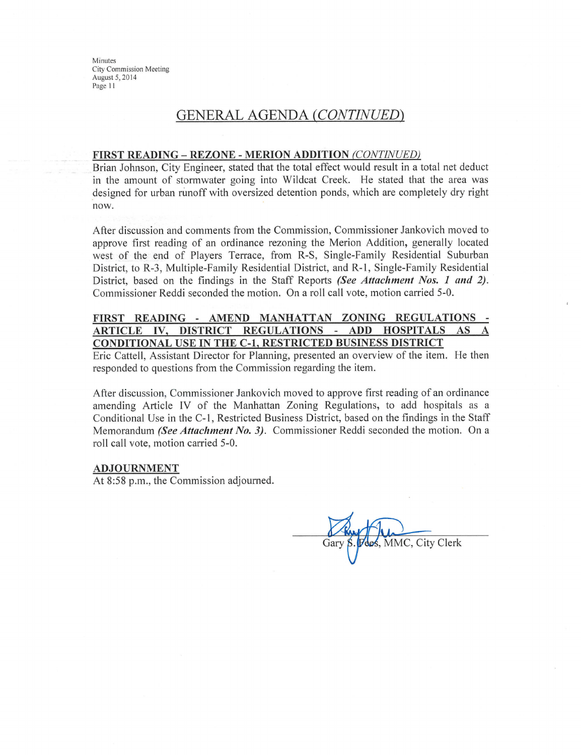### **GENERAL AGENDA (CONTINUED)**

#### **FIRST READING - REZONE - MERION ADDITION (CONTINUED)**

Brian Johnson, City Engineer, stated that the total effect would result in a total net deduct in the amount of stormwater going into Wildcat Creek. He stated that the area was designed for urban runoff with oversized detention ponds, which are completely dry right now.

After discussion and comments from the Commission, Commissioner Jankovich moved to approve first reading of an ordinance rezoning the Merion Addition, generally located west of the end of Players Terrace, from R-S, Single-Family Residential Suburban District, to R-3, Multiple-Family Residential District, and R-1, Single-Family Residential District, based on the findings in the Staff Reports (See Attachment Nos. 1 and 2). Commissioner Reddi seconded the motion. On a roll call vote, motion carried 5-0.

#### FIRST READING - AMEND MANHATTAN ZONING REGULATIONS -IV, DISTRICT REGULATIONS  $\sim$ **ADD HOSPITALS ARTICLE** AS **CONDITIONAL USE IN THE C-1, RESTRICTED BUSINESS DISTRICT**

Eric Cattell, Assistant Director for Planning, presented an overview of the item. He then responded to questions from the Commission regarding the item.

After discussion, Commissioner Jankovich moved to approve first reading of an ordinance amending Article IV of the Manhattan Zoning Regulations, to add hospitals as a Conditional Use in the C-1, Restricted Business District, based on the findings in the Staff Memorandum (See Attachment No. 3). Commissioner Reddi seconded the motion. On a roll call vote, motion carried 5-0.

#### **ADJOURNMENT**

At 8:58 p.m., the Commission adjourned.

MMC, City Clerk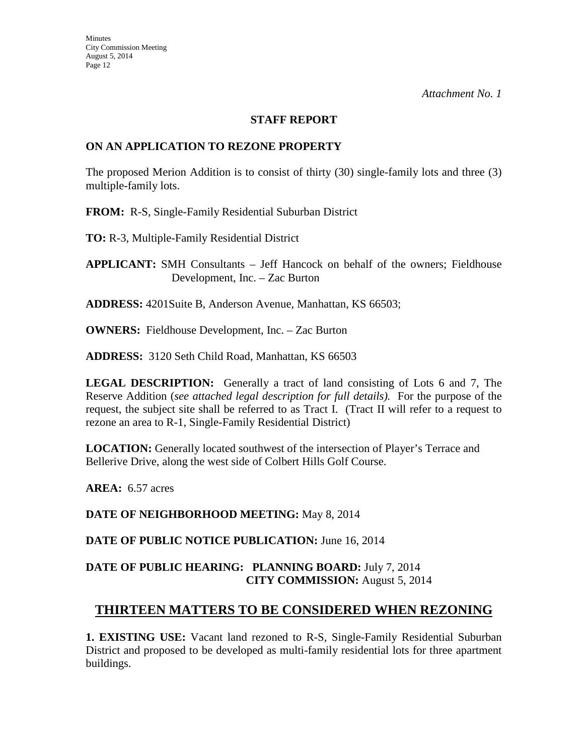#### **STAFF REPORT**

#### **ON AN APPLICATION TO REZONE PROPERTY**

The proposed Merion Addition is to consist of thirty (30) single-family lots and three (3) multiple-family lots.

**FROM:** R-S, Single-Family Residential Suburban District

**TO:** R-3, Multiple-Family Residential District

**APPLICANT:** SMH Consultants – Jeff Hancock on behalf of the owners; Fieldhouse Development, Inc. – Zac Burton

**ADDRESS:** 4201Suite B, Anderson Avenue, Manhattan, KS 66503;

**OWNERS:** Fieldhouse Development, Inc. – Zac Burton

**ADDRESS:** 3120 Seth Child Road, Manhattan, KS 66503

**LEGAL DESCRIPTION:** Generally a tract of land consisting of Lots 6 and 7, The Reserve Addition (*see attached legal description for full details).* For the purpose of the request, the subject site shall be referred to as Tract I. (Tract II will refer to a request to rezone an area to R-1, Single-Family Residential District)

**LOCATION:** Generally located southwest of the intersection of Player's Terrace and Bellerive Drive, along the west side of Colbert Hills Golf Course.

**AREA:** 6.57 acres

**DATE OF NEIGHBORHOOD MEETING:** May 8, 2014

**DATE OF PUBLIC NOTICE PUBLICATION:** June 16, 2014

#### **DATE OF PUBLIC HEARING: PLANNING BOARD:** July 7, 2014 **CITY COMMISSION:** August 5, 2014

### **THIRTEEN MATTERS TO BE CONSIDERED WHEN REZONING**

**1. EXISTING USE:** Vacant land rezoned to R-S, Single-Family Residential Suburban District and proposed to be developed as multi-family residential lots for three apartment buildings.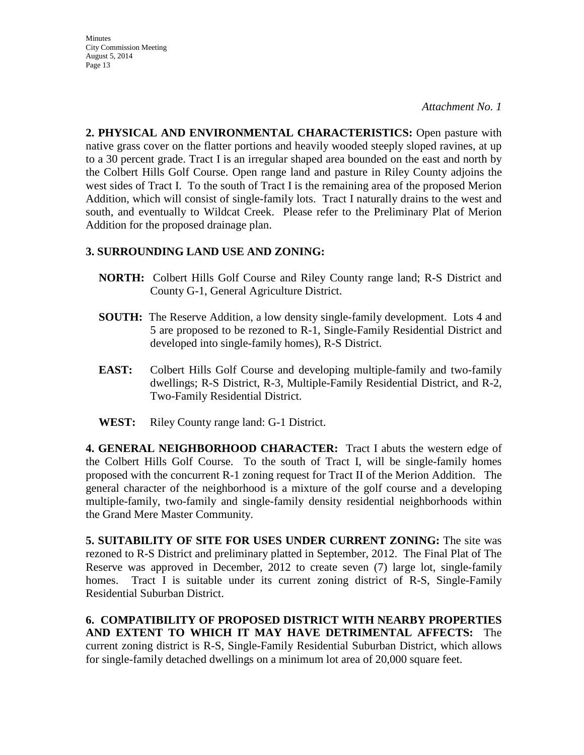*Attachment No. 1*

**2. PHYSICAL AND ENVIRONMENTAL CHARACTERISTICS:** Open pasture with native grass cover on the flatter portions and heavily wooded steeply sloped ravines, at up to a 30 percent grade. Tract I is an irregular shaped area bounded on the east and north by the Colbert Hills Golf Course. Open range land and pasture in Riley County adjoins the west sides of Tract I. To the south of Tract I is the remaining area of the proposed Merion Addition, which will consist of single-family lots. Tract I naturally drains to the west and south, and eventually to Wildcat Creek. Please refer to the Preliminary Plat of Merion Addition for the proposed drainage plan.

#### **3. SURROUNDING LAND USE AND ZONING:**

- **NORTH:** Colbert Hills Golf Course and Riley County range land; R-S District and County G-1, General Agriculture District.
- **SOUTH:** The Reserve Addition, a low density single-family development. Lots 4 and 5 are proposed to be rezoned to R-1, Single-Family Residential District and developed into single-family homes), R-S District.
- **EAST:** Colbert Hills Golf Course and developing multiple-family and two-family dwellings; R-S District, R-3, Multiple-Family Residential District, and R-2, Two-Family Residential District.
- **WEST:** Riley County range land: G-1 District.

**4. GENERAL NEIGHBORHOOD CHARACTER:** Tract I abuts the western edge of the Colbert Hills Golf Course. To the south of Tract I, will be single-family homes proposed with the concurrent R-1 zoning request for Tract II of the Merion Addition. The general character of the neighborhood is a mixture of the golf course and a developing multiple-family, two-family and single-family density residential neighborhoods within the Grand Mere Master Community.

**5. SUITABILITY OF SITE FOR USES UNDER CURRENT ZONING:** The site was rezoned to R-S District and preliminary platted in September, 2012. The Final Plat of The Reserve was approved in December, 2012 to create seven (7) large lot, single-family homes. Tract I is suitable under its current zoning district of R-S, Single-Family Residential Suburban District.

**6. COMPATIBILITY OF PROPOSED DISTRICT WITH NEARBY PROPERTIES AND EXTENT TO WHICH IT MAY HAVE DETRIMENTAL AFFECTS:** The current zoning district is R-S, Single-Family Residential Suburban District, which allows for single-family detached dwellings on a minimum lot area of 20,000 square feet.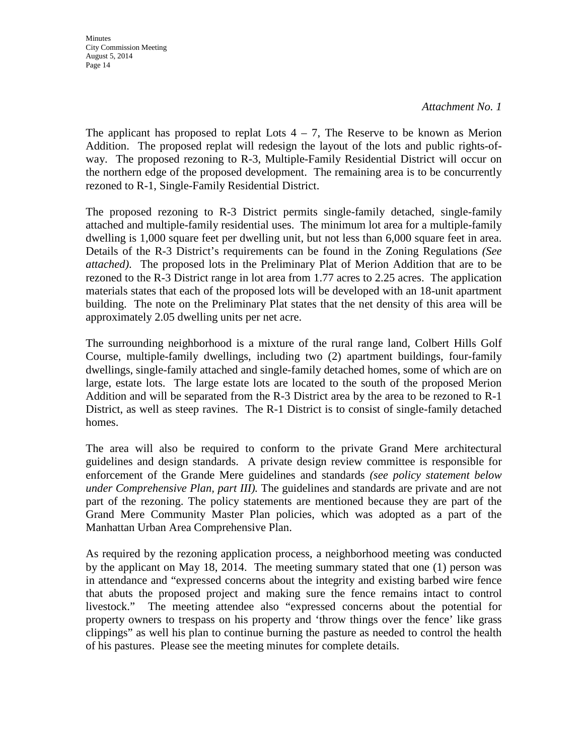*Attachment No. 1*

The applicant has proposed to replat Lots  $4 - 7$ , The Reserve to be known as Merion Addition. The proposed replat will redesign the layout of the lots and public rights-ofway. The proposed rezoning to R-3, Multiple-Family Residential District will occur on the northern edge of the proposed development. The remaining area is to be concurrently rezoned to R-1, Single-Family Residential District.

The proposed rezoning to R-3 District permits single-family detached, single-family attached and multiple-family residential uses. The minimum lot area for a multiple-family dwelling is 1,000 square feet per dwelling unit, but not less than 6,000 square feet in area. Details of the R-3 District's requirements can be found in the Zoning Regulations *(See attached)*.The proposed lots in the Preliminary Plat of Merion Addition that are to be rezoned to the R-3 District range in lot area from 1.77 acres to 2.25 acres. The application materials states that each of the proposed lots will be developed with an 18-unit apartment building. The note on the Preliminary Plat states that the net density of this area will be approximately 2.05 dwelling units per net acre.

The surrounding neighborhood is a mixture of the rural range land, Colbert Hills Golf Course, multiple-family dwellings, including two (2) apartment buildings, four-family dwellings, single-family attached and single-family detached homes, some of which are on large, estate lots. The large estate lots are located to the south of the proposed Merion Addition and will be separated from the R-3 District area by the area to be rezoned to R-1 District, as well as steep ravines. The R-1 District is to consist of single-family detached homes.

The area will also be required to conform to the private Grand Mere architectural guidelines and design standards. A private design review committee is responsible for enforcement of the Grande Mere guidelines and standards *(see policy statement below under Comprehensive Plan, part III).* The guidelines and standards are private and are not part of the rezoning. The policy statements are mentioned because they are part of the Grand Mere Community Master Plan policies, which was adopted as a part of the Manhattan Urban Area Comprehensive Plan.

As required by the rezoning application process, a neighborhood meeting was conducted by the applicant on May 18, 2014. The meeting summary stated that one (1) person was in attendance and "expressed concerns about the integrity and existing barbed wire fence that abuts the proposed project and making sure the fence remains intact to control livestock." The meeting attendee also "expressed concerns about the potential for property owners to trespass on his property and 'throw things over the fence' like grass clippings" as well his plan to continue burning the pasture as needed to control the health of his pastures. Please see the meeting minutes for complete details.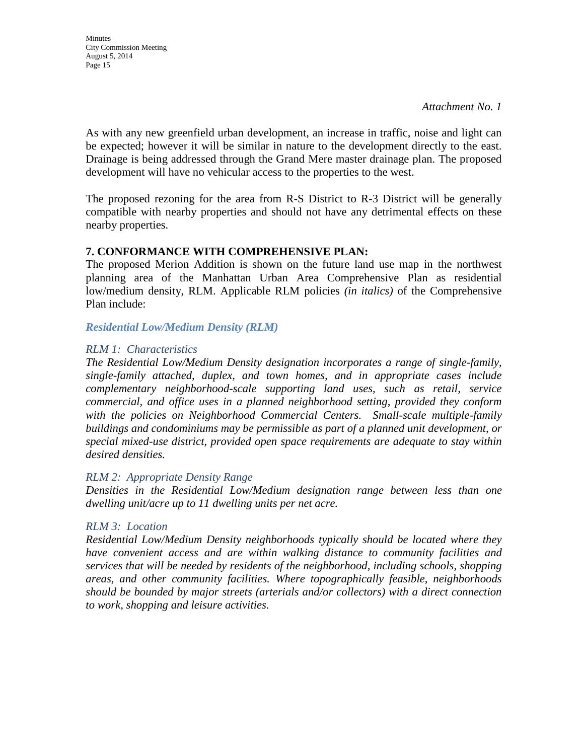As with any new greenfield urban development, an increase in traffic, noise and light can be expected; however it will be similar in nature to the development directly to the east. Drainage is being addressed through the Grand Mere master drainage plan. The proposed development will have no vehicular access to the properties to the west.

The proposed rezoning for the area from R-S District to R-3 District will be generally compatible with nearby properties and should not have any detrimental effects on these nearby properties.

#### **7. CONFORMANCE WITH COMPREHENSIVE PLAN:**

The proposed Merion Addition is shown on the future land use map in the northwest planning area of the Manhattan Urban Area Comprehensive Plan as residential low/medium density, RLM. Applicable RLM policies *(in italics)* of the Comprehensive Plan include:

*Residential Low/Medium Density (RLM)*

#### *RLM 1: Characteristics*

*The Residential Low/Medium Density designation incorporates a range of single-family, single-family attached, duplex, and town homes, and in appropriate cases include complementary neighborhood-scale supporting land uses, such as retail, service commercial, and office uses in a planned neighborhood setting, provided they conform with the policies on Neighborhood Commercial Centers. Small-scale multiple-family buildings and condominiums may be permissible as part of a planned unit development, or special mixed-use district, provided open space requirements are adequate to stay within desired densities.* 

#### *RLM 2: Appropriate Density Range*

*Densities in the Residential Low/Medium designation range between less than one dwelling unit/acre up to 11 dwelling units per net acre.* 

#### *RLM 3: Location*

*Residential Low/Medium Density neighborhoods typically should be located where they have convenient access and are within walking distance to community facilities and services that will be needed by residents of the neighborhood, including schools, shopping areas, and other community facilities. Where topographically feasible, neighborhoods should be bounded by major streets (arterials and/or collectors) with a direct connection to work, shopping and leisure activities.*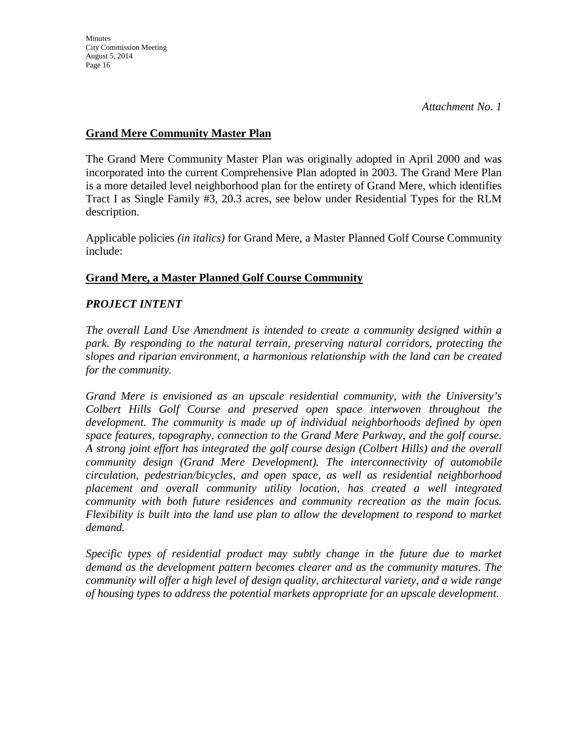### **Grand Mere Community Master Plan**

The Grand Mere Community Master Plan was originally adopted in April 2000 and was incorporated into the current Comprehensive Plan adopted in 2003. The Grand Mere Plan is a more detailed level neighborhood plan for the entirety of Grand Mere, which identifies Tract I as Single Family #3, 20.3 acres, see below under Residential Types for the RLM description.

Applicable policies *(in italics)* for Grand Mere, a Master Planned Golf Course Community include:

### **Grand Mere, a Master Planned Golf Course Community**

#### *PROJECT INTENT*

*The overall Land Use Amendment is intended to create a community designed within a park. By responding to the natural terrain, preserving natural corridors, protecting the slopes and riparian environment, a harmonious relationship with the land can be created for the community.*

*Grand Mere is envisioned as an upscale residential community, with the University's Colbert Hills Golf Course and preserved open space interwoven throughout the development. The community is made up of individual neighborhoods defined by open space features, topography, connection to the Grand Mere Parkway, and the golf course. A strong joint effort has integrated the golf course design (Colbert Hills) and the overall community design (Grand Mere Development). The interconnectivity of automobile circulation, pedestrian/bicycles, and open space, as well as residential neighborhood placement and overall community utility location, has created a well integrated community with both future residences and community recreation as the main focus. Flexibility is built into the land use plan to allow the development to respond to market demand.*

*Specific types of residential product may subtly change in the future due to market demand as the development pattern becomes clearer and as the community matures. The community will offer a high level of design quality, architectural variety, and a wide range of housing types to address the potential markets appropriate for an upscale development.*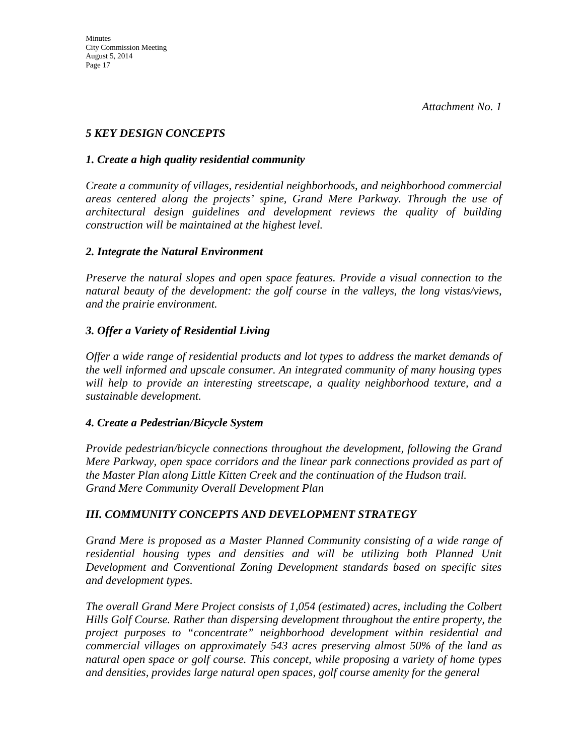### *5 KEY DESIGN CONCEPTS*

#### *1. Create a high quality residential community*

*Create a community of villages, residential neighborhoods, and neighborhood commercial areas centered along the projects' spine, Grand Mere Parkway. Through the use of architectural design guidelines and development reviews the quality of building construction will be maintained at the highest level.*

#### *2. Integrate the Natural Environment*

*Preserve the natural slopes and open space features. Provide a visual connection to the natural beauty of the development: the golf course in the valleys, the long vistas/views, and the prairie environment.*

### *3. Offer a Variety of Residential Living*

*Offer a wide range of residential products and lot types to address the market demands of the well informed and upscale consumer. An integrated community of many housing types will help to provide an interesting streetscape, a quality neighborhood texture, and a sustainable development.*

#### *4. Create a Pedestrian/Bicycle System*

*Provide pedestrian/bicycle connections throughout the development, following the Grand Mere Parkway, open space corridors and the linear park connections provided as part of the Master Plan along Little Kitten Creek and the continuation of the Hudson trail. Grand Mere Community Overall Development Plan* 

#### *III. COMMUNITY CONCEPTS AND DEVELOPMENT STRATEGY*

*Grand Mere is proposed as a Master Planned Community consisting of a wide range of residential housing types and densities and will be utilizing both Planned Unit Development and Conventional Zoning Development standards based on specific sites and development types.*

*The overall Grand Mere Project consists of 1,054 (estimated) acres, including the Colbert Hills Golf Course. Rather than dispersing development throughout the entire property, the project purposes to "concentrate" neighborhood development within residential and commercial villages on approximately 543 acres preserving almost 50% of the land as natural open space or golf course. This concept, while proposing a variety of home types and densities, provides large natural open spaces, golf course amenity for the general*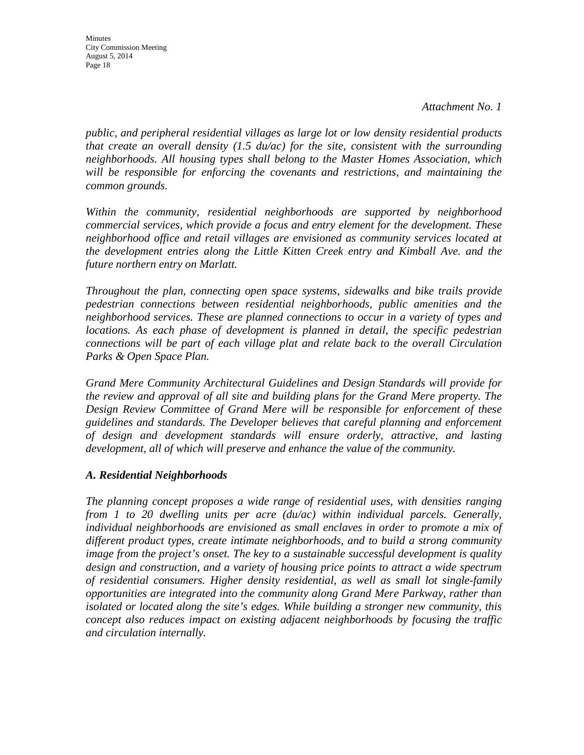Minutes City Commission Meeting August 5, 2014 Page 18

*public, and peripheral residential villages as large lot or low density residential products that create an overall density (1.5 du/ac) for the site, consistent with the surrounding neighborhoods. All housing types shall belong to the Master Homes Association, which will be responsible for enforcing the covenants and restrictions, and maintaining the common grounds.*

*Within the community, residential neighborhoods are supported by neighborhood commercial services, which provide a focus and entry element for the development. These neighborhood office and retail villages are envisioned as community services located at the development entries along the Little Kitten Creek entry and Kimball Ave. and the future northern entry on Marlatt.*

*Throughout the plan, connecting open space systems, sidewalks and bike trails provide pedestrian connections between residential neighborhoods, public amenities and the neighborhood services. These are planned connections to occur in a variety of types and locations. As each phase of development is planned in detail, the specific pedestrian connections will be part of each village plat and relate back to the overall Circulation Parks & Open Space Plan.*

*Grand Mere Community Architectural Guidelines and Design Standards will provide for the review and approval of all site and building plans for the Grand Mere property. The Design Review Committee of Grand Mere will be responsible for enforcement of these guidelines and standards. The Developer believes that careful planning and enforcement of design and development standards will ensure orderly, attractive, and lasting development, all of which will preserve and enhance the value of the community.*

#### *A. Residential Neighborhoods*

*The planning concept proposes a wide range of residential uses, with densities ranging from 1 to 20 dwelling units per acre (du/ac) within individual parcels. Generally, individual neighborhoods are envisioned as small enclaves in order to promote a mix of different product types, create intimate neighborhoods, and to build a strong community image from the project's onset. The key to a sustainable successful development is quality design and construction, and a variety of housing price points to attract a wide spectrum of residential consumers. Higher density residential, as well as small lot single-family opportunities are integrated into the community along Grand Mere Parkway, rather than isolated or located along the site's edges. While building a stronger new community, this concept also reduces impact on existing adjacent neighborhoods by focusing the traffic and circulation internally.*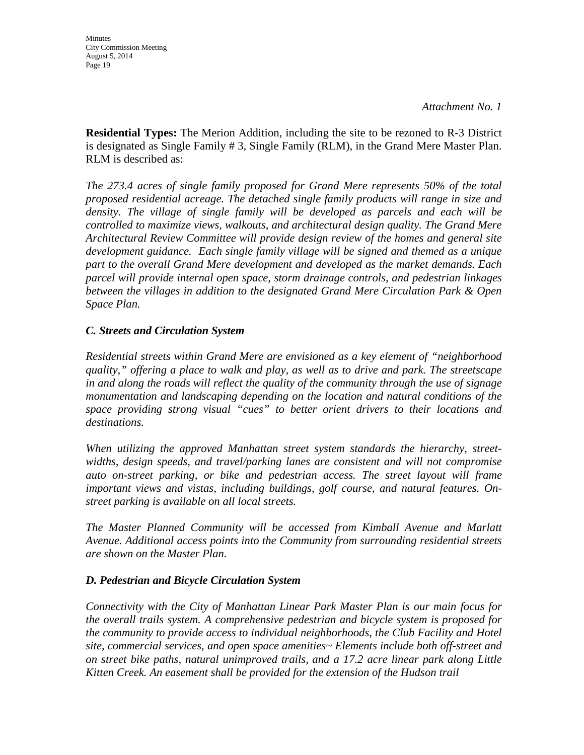**Residential Types:** The Merion Addition, including the site to be rezoned to R-3 District is designated as Single Family # 3, Single Family (RLM), in the Grand Mere Master Plan. RLM is described as:

*The 273.4 acres of single family proposed for Grand Mere represents 50% of the total proposed residential acreage. The detached single family products will range in size and*  density. The village of single family will be developed as parcels and each will be *controlled to maximize views, walkouts, and architectural design quality. The Grand Mere Architectural Review Committee will provide design review of the homes and general site development guidance. Each single family village will be signed and themed as a unique part to the overall Grand Mere development and developed as the market demands. Each parcel will provide internal open space, storm drainage controls, and pedestrian linkages between the villages in addition to the designated Grand Mere Circulation Park & Open Space Plan.*

#### *C. Streets and Circulation System*

*Residential streets within Grand Mere are envisioned as a key element of "neighborhood quality," offering a place to walk and play, as well as to drive and park. The streetscape in and along the roads will reflect the quality of the community through the use of signage monumentation and landscaping depending on the location and natural conditions of the space providing strong visual "cues" to better orient drivers to their locations and destinations.*

*When utilizing the approved Manhattan street system standards the hierarchy, streetwidths, design speeds, and travel/parking lanes are consistent and will not compromise auto on-street parking, or bike and pedestrian access. The street layout will frame important views and vistas, including buildings, golf course, and natural features. Onstreet parking is available on all local streets.*

*The Master Planned Community will be accessed from Kimball Avenue and Marlatt Avenue. Additional access points into the Community from surrounding residential streets are shown on the Master Plan.*

#### *D. Pedestrian and Bicycle Circulation System*

*Connectivity with the City of Manhattan Linear Park Master Plan is our main focus for the overall trails system. A comprehensive pedestrian and bicycle system is proposed for the community to provide access to individual neighborhoods, the Club Facility and Hotel site, commercial services, and open space amenities~ Elements include both off-street and on street bike paths, natural unimproved trails, and a 17.2 acre linear park along Little Kitten Creek. An easement shall be provided for the extension of the Hudson trail*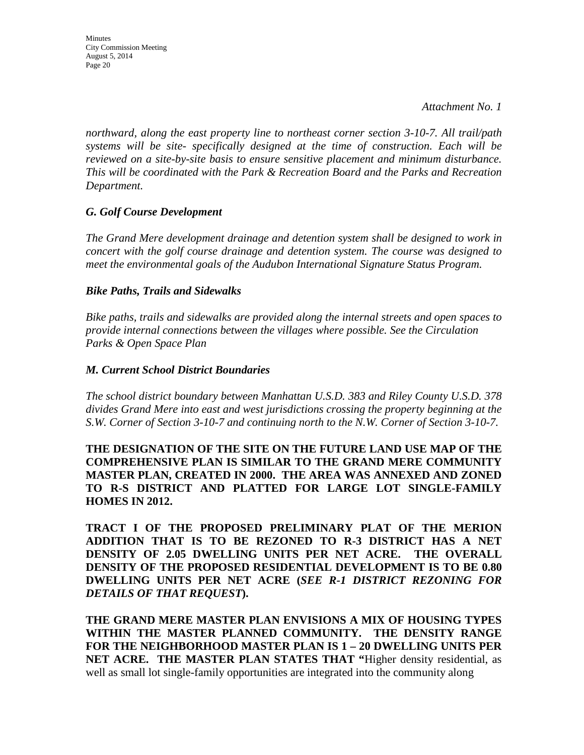*northward, along the east property line to northeast corner section 3-10-7. All trail/path systems will be site- specifically designed at the time of construction. Each will be reviewed on a site-by-site basis to ensure sensitive placement and minimum disturbance. This will be coordinated with the Park & Recreation Board and the Parks and Recreation Department.*

#### *G. Golf Course Development*

*The Grand Mere development drainage and detention system shall be designed to work in concert with the golf course drainage and detention system. The course was designed to meet the environmental goals of the Audubon International Signature Status Program.*

#### *Bike Paths, Trails and Sidewalks*

*Bike paths, trails and sidewalks are provided along the internal streets and open spaces to provide internal connections between the villages where possible. See the Circulation Parks & Open Space Plan*

#### *M. Current School District Boundaries*

*The school district boundary between Manhattan U.S.D. 383 and Riley County U.S.D. 378 divides Grand Mere into east and west jurisdictions crossing the property beginning at the S.W. Corner of Section 3-10-7 and continuing north to the N.W. Corner of Section 3-10-7.*

**THE DESIGNATION OF THE SITE ON THE FUTURE LAND USE MAP OF THE COMPREHENSIVE PLAN IS SIMILAR TO THE GRAND MERE COMMUNITY MASTER PLAN, CREATED IN 2000. THE AREA WAS ANNEXED AND ZONED TO R-S DISTRICT AND PLATTED FOR LARGE LOT SINGLE-FAMILY HOMES IN 2012.**

**TRACT I OF THE PROPOSED PRELIMINARY PLAT OF THE MERION ADDITION THAT IS TO BE REZONED TO R-3 DISTRICT HAS A NET DENSITY OF 2.05 DWELLING UNITS PER NET ACRE. THE OVERALL DENSITY OF THE PROPOSED RESIDENTIAL DEVELOPMENT IS TO BE 0.80 DWELLING UNITS PER NET ACRE (***SEE R-1 DISTRICT REZONING FOR DETAILS OF THAT REQUEST***).**

**THE GRAND MERE MASTER PLAN ENVISIONS A MIX OF HOUSING TYPES WITHIN THE MASTER PLANNED COMMUNITY. THE DENSITY RANGE FOR THE NEIGHBORHOOD MASTER PLAN IS 1 – 20 DWELLING UNITS PER NET ACRE. THE MASTER PLAN STATES THAT "**Higher density residential, as well as small lot single-family opportunities are integrated into the community along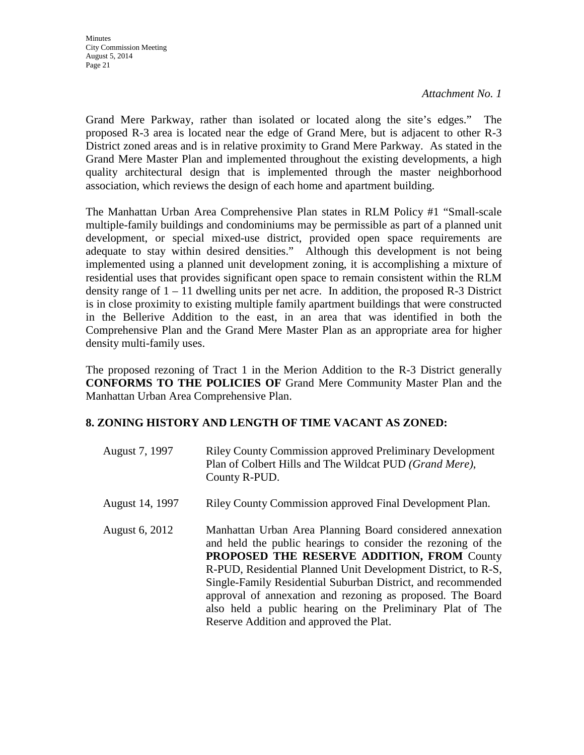*Attachment No. 1*

Grand Mere Parkway, rather than isolated or located along the site's edges." The proposed R-3 area is located near the edge of Grand Mere, but is adjacent to other R-3 District zoned areas and is in relative proximity to Grand Mere Parkway. As stated in the Grand Mere Master Plan and implemented throughout the existing developments, a high quality architectural design that is implemented through the master neighborhood association, which reviews the design of each home and apartment building.

The Manhattan Urban Area Comprehensive Plan states in RLM Policy #1 "Small-scale multiple-family buildings and condominiums may be permissible as part of a planned unit development, or special mixed-use district, provided open space requirements are adequate to stay within desired densities." Although this development is not being implemented using a planned unit development zoning, it is accomplishing a mixture of residential uses that provides significant open space to remain consistent within the RLM density range of  $1 - 11$  dwelling units per net acre. In addition, the proposed R-3 District is in close proximity to existing multiple family apartment buildings that were constructed in the Bellerive Addition to the east, in an area that was identified in both the Comprehensive Plan and the Grand Mere Master Plan as an appropriate area for higher density multi-family uses.

The proposed rezoning of Tract 1 in the Merion Addition to the R-3 District generally **CONFORMS TO THE POLICIES OF** Grand Mere Community Master Plan and the Manhattan Urban Area Comprehensive Plan.

#### **8. ZONING HISTORY AND LENGTH OF TIME VACANT AS ZONED:**

| August 7, 1997  | <b>Riley County Commission approved Preliminary Development</b><br>Plan of Colbert Hills and The Wildcat PUD (Grand Mere),<br>County R-PUD.                                                                                                                                                                                                                                                                                                                                           |
|-----------------|---------------------------------------------------------------------------------------------------------------------------------------------------------------------------------------------------------------------------------------------------------------------------------------------------------------------------------------------------------------------------------------------------------------------------------------------------------------------------------------|
| August 14, 1997 | Riley County Commission approved Final Development Plan.                                                                                                                                                                                                                                                                                                                                                                                                                              |
| August 6, 2012  | Manhattan Urban Area Planning Board considered annexation<br>and held the public hearings to consider the rezoning of the<br><b>PROPOSED THE RESERVE ADDITION, FROM County</b><br>R-PUD, Residential Planned Unit Development District, to R-S,<br>Single-Family Residential Suburban District, and recommended<br>approval of annexation and rezoning as proposed. The Board<br>also held a public hearing on the Preliminary Plat of The<br>Reserve Addition and approved the Plat. |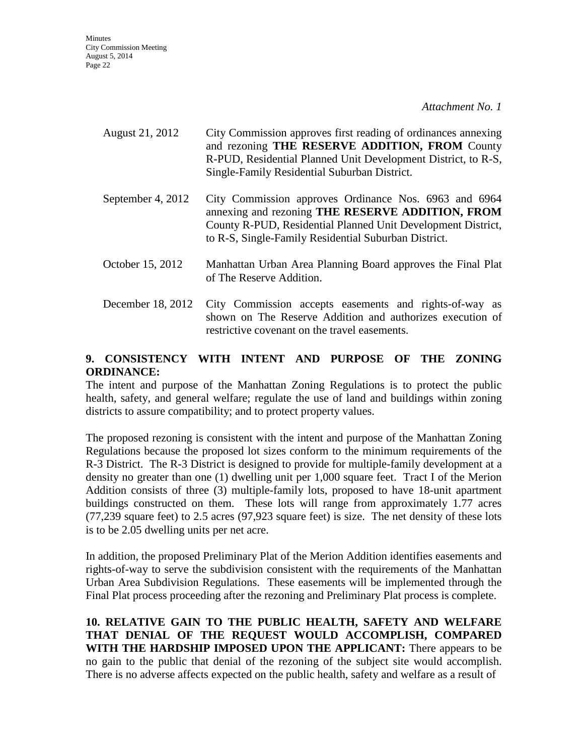*Attachment No. 1*

- August 21, 2012 City Commission approves first reading of ordinances annexing and rezoning **THE RESERVE ADDITION, FROM** County R-PUD, Residential Planned Unit Development District, to R-S, Single-Family Residential Suburban District.
- September 4, 2012 City Commission approves Ordinance Nos. 6963 and 6964 annexing and rezoning **THE RESERVE ADDITION, FROM**  County R-PUD, Residential Planned Unit Development District, to R-S, Single-Family Residential Suburban District.
- October 15, 2012 Manhattan Urban Area Planning Board approves the Final Plat of The Reserve Addition.
- December 18, 2012 City Commission accepts easements and rights-of-way as shown on The Reserve Addition and authorizes execution of restrictive covenant on the travel easements.

### **9. CONSISTENCY WITH INTENT AND PURPOSE OF THE ZONING ORDINANCE:**

The intent and purpose of the Manhattan Zoning Regulations is to protect the public health, safety, and general welfare; regulate the use of land and buildings within zoning districts to assure compatibility; and to protect property values.

The proposed rezoning is consistent with the intent and purpose of the Manhattan Zoning Regulations because the proposed lot sizes conform to the minimum requirements of the R-3 District. The R-3 District is designed to provide for multiple-family development at a density no greater than one (1) dwelling unit per 1,000 square feet. Tract I of the Merion Addition consists of three (3) multiple-family lots, proposed to have 18-unit apartment buildings constructed on them. These lots will range from approximately 1.77 acres (77,239 square feet) to 2.5 acres (97,923 square feet) is size. The net density of these lots is to be 2.05 dwelling units per net acre.

In addition, the proposed Preliminary Plat of the Merion Addition identifies easements and rights-of-way to serve the subdivision consistent with the requirements of the Manhattan Urban Area Subdivision Regulations. These easements will be implemented through the Final Plat process proceeding after the rezoning and Preliminary Plat process is complete.

**10. RELATIVE GAIN TO THE PUBLIC HEALTH, SAFETY AND WELFARE THAT DENIAL OF THE REQUEST WOULD ACCOMPLISH, COMPARED WITH THE HARDSHIP IMPOSED UPON THE APPLICANT:** There appears to be no gain to the public that denial of the rezoning of the subject site would accomplish. There is no adverse affects expected on the public health, safety and welfare as a result of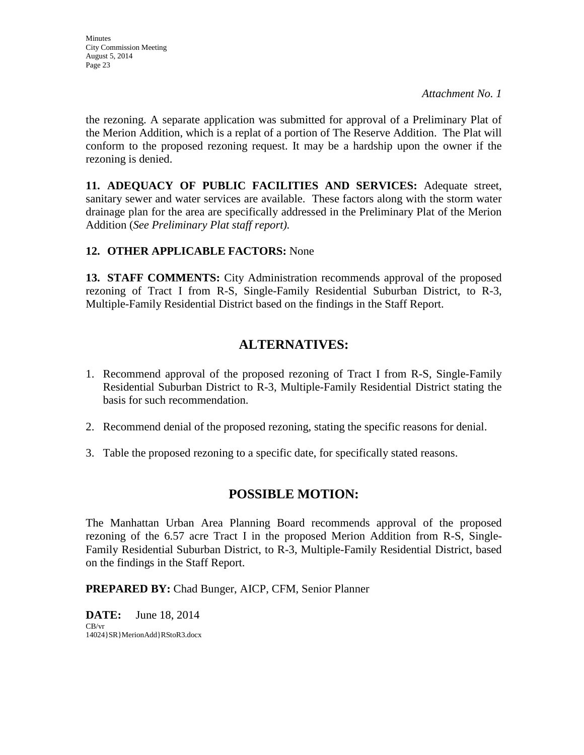the rezoning. A separate application was submitted for approval of a Preliminary Plat of the Merion Addition, which is a replat of a portion of The Reserve Addition. The Plat will conform to the proposed rezoning request. It may be a hardship upon the owner if the rezoning is denied.

**11. ADEQUACY OF PUBLIC FACILITIES AND SERVICES:** Adequate street, sanitary sewer and water services are available. These factors along with the storm water drainage plan for the area are specifically addressed in the Preliminary Plat of the Merion Addition (*See Preliminary Plat staff report).*

### **12. OTHER APPLICABLE FACTORS:** None

**13. STAFF COMMENTS:** City Administration recommends approval of the proposed rezoning of Tract I from R-S, Single-Family Residential Suburban District, to R-3, Multiple-Family Residential District based on the findings in the Staff Report.

### **ALTERNATIVES:**

- 1. Recommend approval of the proposed rezoning of Tract I from R-S, Single-Family Residential Suburban District to R-3, Multiple-Family Residential District stating the basis for such recommendation.
- 2. Recommend denial of the proposed rezoning, stating the specific reasons for denial.
- 3. Table the proposed rezoning to a specific date, for specifically stated reasons.

### **POSSIBLE MOTION:**

The Manhattan Urban Area Planning Board recommends approval of the proposed rezoning of the 6.57 acre Tract I in the proposed Merion Addition from R-S, Single-Family Residential Suburban District, to R-3, Multiple-Family Residential District, based on the findings in the Staff Report.

**PREPARED BY:** Chad Bunger, AICP, CFM, Senior Planner

**DATE:** June 18, 2014 CB/vr 14024}SR}MerionAdd}RStoR3.docx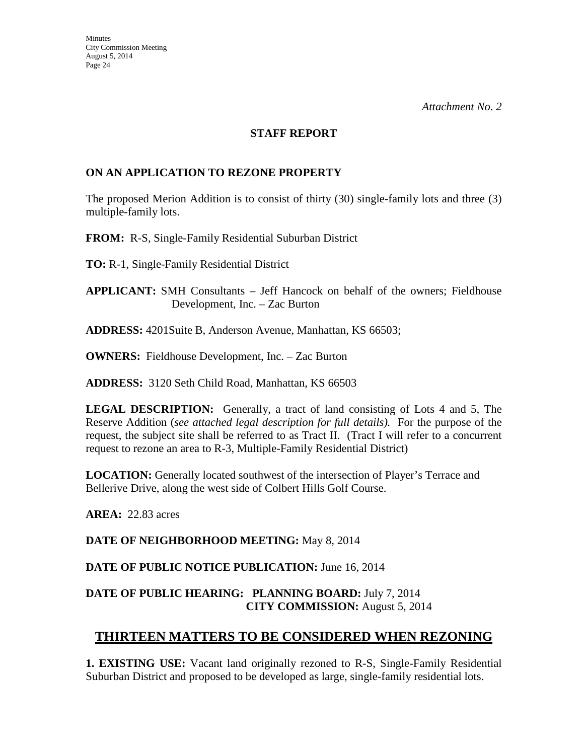#### **STAFF REPORT**

#### **ON AN APPLICATION TO REZONE PROPERTY**

The proposed Merion Addition is to consist of thirty (30) single-family lots and three (3) multiple-family lots.

**FROM:** R-S, Single-Family Residential Suburban District

**TO:** R-1, Single-Family Residential District

**APPLICANT:** SMH Consultants – Jeff Hancock on behalf of the owners; Fieldhouse Development, Inc. – Zac Burton

**ADDRESS:** 4201Suite B, Anderson Avenue, Manhattan, KS 66503;

**OWNERS:** Fieldhouse Development, Inc. – Zac Burton

**ADDRESS:** 3120 Seth Child Road, Manhattan, KS 66503

**LEGAL DESCRIPTION:** Generally, a tract of land consisting of Lots 4 and 5, The Reserve Addition (*see attached legal description for full details).* For the purpose of the request, the subject site shall be referred to as Tract II. (Tract I will refer to a concurrent request to rezone an area to R-3, Multiple-Family Residential District)

**LOCATION:** Generally located southwest of the intersection of Player's Terrace and Bellerive Drive, along the west side of Colbert Hills Golf Course.

**AREA:** 22.83 acres

**DATE OF NEIGHBORHOOD MEETING:** May 8, 2014

**DATE OF PUBLIC NOTICE PUBLICATION:** June 16, 2014

### **DATE OF PUBLIC HEARING: PLANNING BOARD:** July 7, 2014 **CITY COMMISSION:** August 5, 2014

### **THIRTEEN MATTERS TO BE CONSIDERED WHEN REZONING**

**1. EXISTING USE:** Vacant land originally rezoned to R-S, Single-Family Residential Suburban District and proposed to be developed as large, single-family residential lots.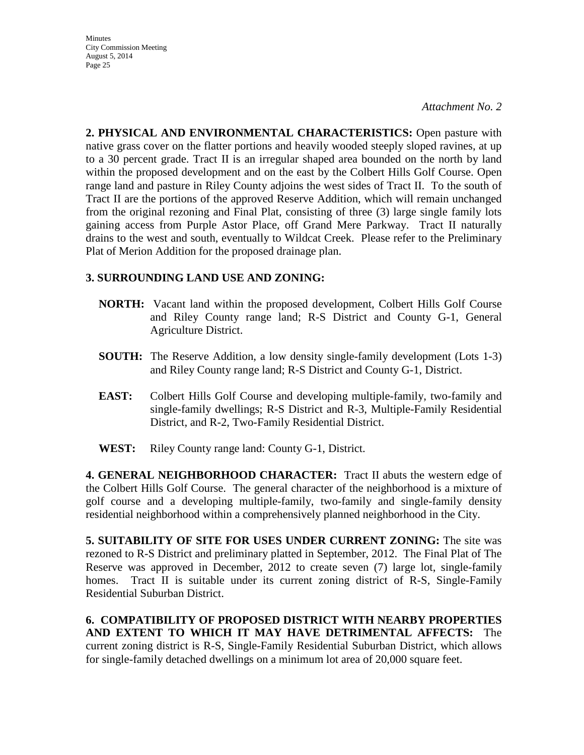*Attachment No. 2*

**2. PHYSICAL AND ENVIRONMENTAL CHARACTERISTICS:** Open pasture with native grass cover on the flatter portions and heavily wooded steeply sloped ravines, at up to a 30 percent grade. Tract II is an irregular shaped area bounded on the north by land within the proposed development and on the east by the Colbert Hills Golf Course. Open range land and pasture in Riley County adjoins the west sides of Tract II. To the south of Tract II are the portions of the approved Reserve Addition, which will remain unchanged from the original rezoning and Final Plat, consisting of three (3) large single family lots gaining access from Purple Astor Place, off Grand Mere Parkway. Tract II naturally drains to the west and south, eventually to Wildcat Creek. Please refer to the Preliminary Plat of Merion Addition for the proposed drainage plan.

### **3. SURROUNDING LAND USE AND ZONING:**

- **NORTH:** Vacant land within the proposed development, Colbert Hills Golf Course and Riley County range land; R-S District and County G-1, General Agriculture District.
- **SOUTH:** The Reserve Addition, a low density single-family development (Lots 1-3) and Riley County range land; R-S District and County G-1, District.
- **EAST:** Colbert Hills Golf Course and developing multiple-family, two-family and single-family dwellings; R-S District and R-3, Multiple-Family Residential District, and R-2, Two-Family Residential District.
- **WEST:** Riley County range land: County G-1, District.

**4. GENERAL NEIGHBORHOOD CHARACTER:** Tract II abuts the western edge of the Colbert Hills Golf Course. The general character of the neighborhood is a mixture of golf course and a developing multiple-family, two-family and single-family density residential neighborhood within a comprehensively planned neighborhood in the City.

**5. SUITABILITY OF SITE FOR USES UNDER CURRENT ZONING:** The site was rezoned to R-S District and preliminary platted in September, 2012. The Final Plat of The Reserve was approved in December, 2012 to create seven (7) large lot, single-family homes. Tract II is suitable under its current zoning district of R-S, Single-Family Residential Suburban District.

**6. COMPATIBILITY OF PROPOSED DISTRICT WITH NEARBY PROPERTIES AND EXTENT TO WHICH IT MAY HAVE DETRIMENTAL AFFECTS:** The current zoning district is R-S, Single-Family Residential Suburban District, which allows for single-family detached dwellings on a minimum lot area of 20,000 square feet.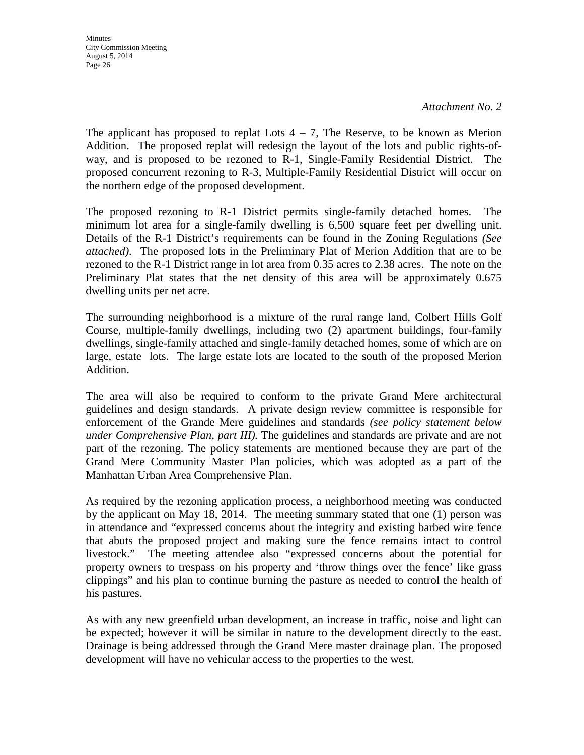The applicant has proposed to replat Lots  $4 - 7$ , The Reserve, to be known as Merion Addition. The proposed replat will redesign the layout of the lots and public rights-ofway, and is proposed to be rezoned to R-1, Single-Family Residential District. The proposed concurrent rezoning to R-3, Multiple-Family Residential District will occur on the northern edge of the proposed development.

The proposed rezoning to R-1 District permits single-family detached homes. The minimum lot area for a single-family dwelling is 6,500 square feet per dwelling unit. Details of the R-1 District's requirements can be found in the Zoning Regulations *(See attached)*.The proposed lots in the Preliminary Plat of Merion Addition that are to be rezoned to the R-1 District range in lot area from 0.35 acres to 2.38 acres. The note on the Preliminary Plat states that the net density of this area will be approximately 0.675 dwelling units per net acre.

The surrounding neighborhood is a mixture of the rural range land, Colbert Hills Golf Course, multiple-family dwellings, including two (2) apartment buildings, four-family dwellings, single-family attached and single-family detached homes, some of which are on large, estate lots. The large estate lots are located to the south of the proposed Merion Addition.

The area will also be required to conform to the private Grand Mere architectural guidelines and design standards. A private design review committee is responsible for enforcement of the Grande Mere guidelines and standards *(see policy statement below under Comprehensive Plan, part III).* The guidelines and standards are private and are not part of the rezoning. The policy statements are mentioned because they are part of the Grand Mere Community Master Plan policies, which was adopted as a part of the Manhattan Urban Area Comprehensive Plan.

As required by the rezoning application process, a neighborhood meeting was conducted by the applicant on May 18, 2014. The meeting summary stated that one (1) person was in attendance and "expressed concerns about the integrity and existing barbed wire fence that abuts the proposed project and making sure the fence remains intact to control livestock." The meeting attendee also "expressed concerns about the potential for property owners to trespass on his property and 'throw things over the fence' like grass clippings" and his plan to continue burning the pasture as needed to control the health of his pastures.

As with any new greenfield urban development, an increase in traffic, noise and light can be expected; however it will be similar in nature to the development directly to the east. Drainage is being addressed through the Grand Mere master drainage plan. The proposed development will have no vehicular access to the properties to the west.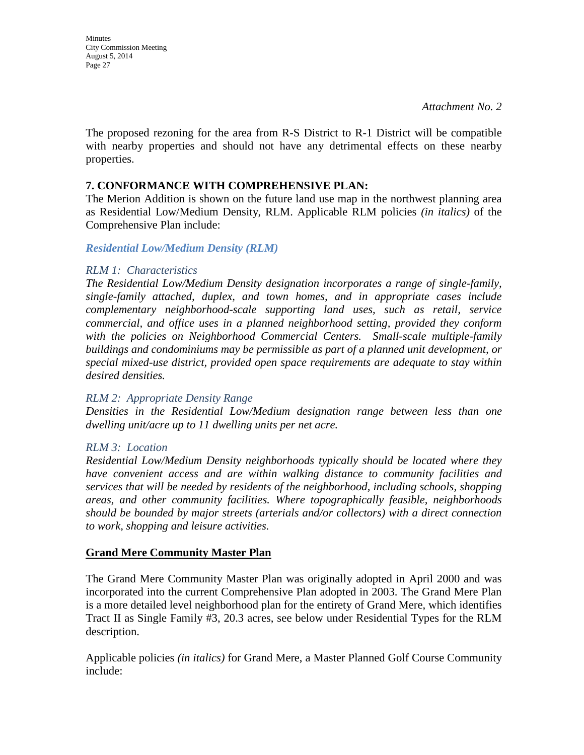**Minutes** City Commission Meeting August 5, 2014 Page 27

The proposed rezoning for the area from R-S District to R-1 District will be compatible with nearby properties and should not have any detrimental effects on these nearby properties.

#### **7. CONFORMANCE WITH COMPREHENSIVE PLAN:**

The Merion Addition is shown on the future land use map in the northwest planning area as Residential Low/Medium Density, RLM. Applicable RLM policies *(in italics)* of the Comprehensive Plan include:

#### *Residential Low/Medium Density (RLM)*

#### *RLM 1: Characteristics*

*The Residential Low/Medium Density designation incorporates a range of single-family, single-family attached, duplex, and town homes, and in appropriate cases include complementary neighborhood-scale supporting land uses, such as retail, service commercial, and office uses in a planned neighborhood setting, provided they conform with the policies on Neighborhood Commercial Centers. Small-scale multiple-family buildings and condominiums may be permissible as part of a planned unit development, or special mixed-use district, provided open space requirements are adequate to stay within desired densities.* 

#### *RLM 2: Appropriate Density Range*

*Densities in the Residential Low/Medium designation range between less than one dwelling unit/acre up to 11 dwelling units per net acre.* 

#### *RLM 3: Location*

*Residential Low/Medium Density neighborhoods typically should be located where they have convenient access and are within walking distance to community facilities and services that will be needed by residents of the neighborhood, including schools, shopping areas, and other community facilities. Where topographically feasible, neighborhoods should be bounded by major streets (arterials and/or collectors) with a direct connection to work, shopping and leisure activities.* 

#### **Grand Mere Community Master Plan**

The Grand Mere Community Master Plan was originally adopted in April 2000 and was incorporated into the current Comprehensive Plan adopted in 2003. The Grand Mere Plan is a more detailed level neighborhood plan for the entirety of Grand Mere, which identifies Tract II as Single Family #3, 20.3 acres, see below under Residential Types for the RLM description.

Applicable policies *(in italics)* for Grand Mere, a Master Planned Golf Course Community include: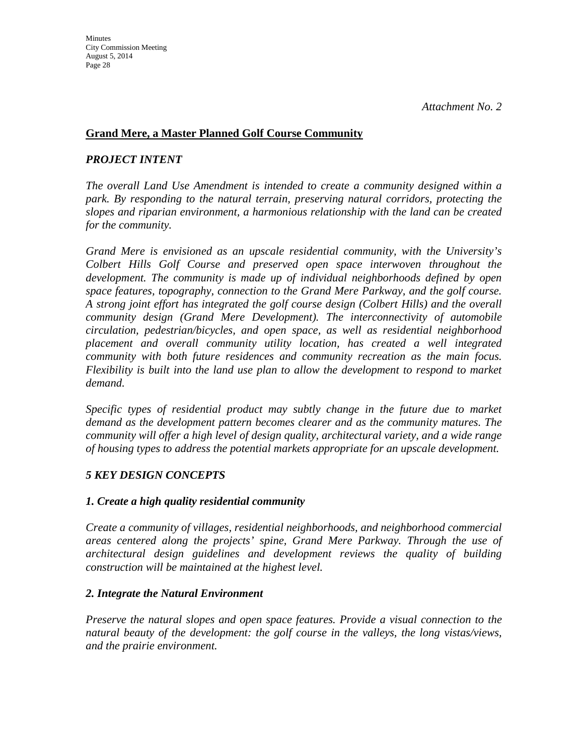#### **Grand Mere, a Master Planned Golf Course Community**

#### *PROJECT INTENT*

*The overall Land Use Amendment is intended to create a community designed within a park. By responding to the natural terrain, preserving natural corridors, protecting the slopes and riparian environment, a harmonious relationship with the land can be created for the community.*

*Grand Mere is envisioned as an upscale residential community, with the University's Colbert Hills Golf Course and preserved open space interwoven throughout the development. The community is made up of individual neighborhoods defined by open space features, topography, connection to the Grand Mere Parkway, and the golf course. A strong joint effort has integrated the golf course design (Colbert Hills) and the overall community design (Grand Mere Development). The interconnectivity of automobile circulation, pedestrian/bicycles, and open space, as well as residential neighborhood placement and overall community utility location, has created a well integrated community with both future residences and community recreation as the main focus. Flexibility is built into the land use plan to allow the development to respond to market demand.*

*Specific types of residential product may subtly change in the future due to market demand as the development pattern becomes clearer and as the community matures. The community will offer a high level of design quality, architectural variety, and a wide range of housing types to address the potential markets appropriate for an upscale development.*

#### *5 KEY DESIGN CONCEPTS*

#### *1. Create a high quality residential community*

*Create a community of villages, residential neighborhoods, and neighborhood commercial areas centered along the projects' spine, Grand Mere Parkway. Through the use of architectural design guidelines and development reviews the quality of building construction will be maintained at the highest level.*

#### *2. Integrate the Natural Environment*

*Preserve the natural slopes and open space features. Provide a visual connection to the natural beauty of the development: the golf course in the valleys, the long vistas/views, and the prairie environment.*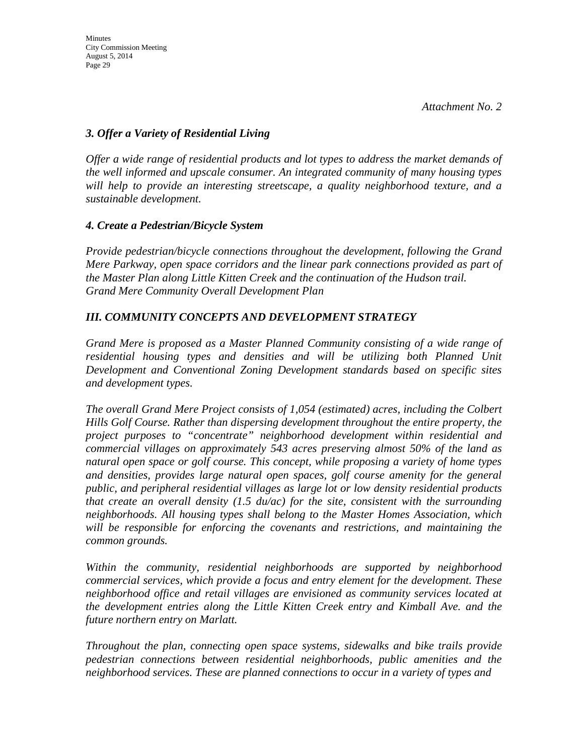#### *3. Offer a Variety of Residential Living*

*Offer a wide range of residential products and lot types to address the market demands of the well informed and upscale consumer. An integrated community of many housing types will help to provide an interesting streetscape, a quality neighborhood texture, and a sustainable development.*

#### *4. Create a Pedestrian/Bicycle System*

*Provide pedestrian/bicycle connections throughout the development, following the Grand Mere Parkway, open space corridors and the linear park connections provided as part of the Master Plan along Little Kitten Creek and the continuation of the Hudson trail. Grand Mere Community Overall Development Plan* 

### *III. COMMUNITY CONCEPTS AND DEVELOPMENT STRATEGY*

*Grand Mere is proposed as a Master Planned Community consisting of a wide range of*  residential housing types and densities and will be utilizing both Planned Unit *Development and Conventional Zoning Development standards based on specific sites and development types.*

*The overall Grand Mere Project consists of 1,054 (estimated) acres, including the Colbert Hills Golf Course. Rather than dispersing development throughout the entire property, the project purposes to "concentrate" neighborhood development within residential and commercial villages on approximately 543 acres preserving almost 50% of the land as natural open space or golf course. This concept, while proposing a variety of home types and densities, provides large natural open spaces, golf course amenity for the general public, and peripheral residential villages as large lot or low density residential products that create an overall density (1.5 du/ac) for the site, consistent with the surrounding neighborhoods. All housing types shall belong to the Master Homes Association, which will be responsible for enforcing the covenants and restrictions, and maintaining the common grounds.*

*Within the community, residential neighborhoods are supported by neighborhood commercial services, which provide a focus and entry element for the development. These neighborhood office and retail villages are envisioned as community services located at the development entries along the Little Kitten Creek entry and Kimball Ave. and the future northern entry on Marlatt.*

*Throughout the plan, connecting open space systems, sidewalks and bike trails provide pedestrian connections between residential neighborhoods, public amenities and the neighborhood services. These are planned connections to occur in a variety of types and*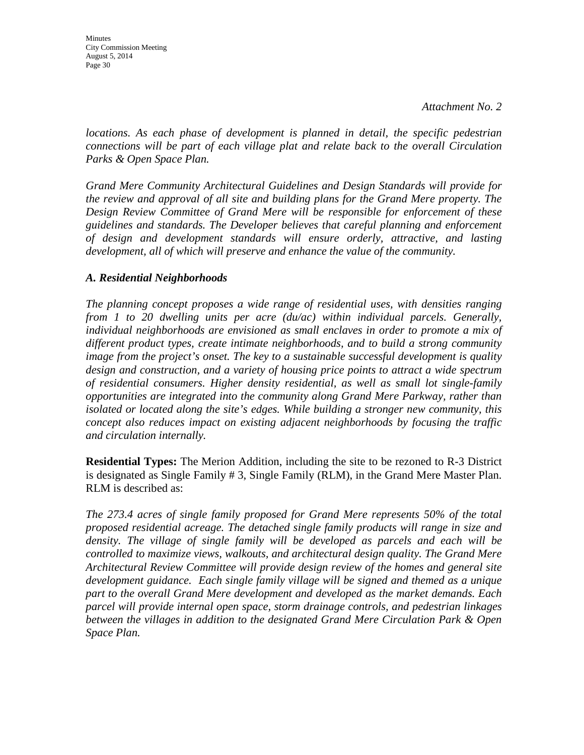Minutes City Commission Meeting August 5, 2014 Page 30

*locations. As each phase of development is planned in detail, the specific pedestrian connections will be part of each village plat and relate back to the overall Circulation Parks & Open Space Plan.*

*Grand Mere Community Architectural Guidelines and Design Standards will provide for the review and approval of all site and building plans for the Grand Mere property. The Design Review Committee of Grand Mere will be responsible for enforcement of these guidelines and standards. The Developer believes that careful planning and enforcement of design and development standards will ensure orderly, attractive, and lasting development, all of which will preserve and enhance the value of the community.*

#### *A. Residential Neighborhoods*

*The planning concept proposes a wide range of residential uses, with densities ranging from 1 to 20 dwelling units per acre (du/ac) within individual parcels. Generally, individual neighborhoods are envisioned as small enclaves in order to promote a mix of different product types, create intimate neighborhoods, and to build a strong community image from the project's onset. The key to a sustainable successful development is quality design and construction, and a variety of housing price points to attract a wide spectrum of residential consumers. Higher density residential, as well as small lot single-family opportunities are integrated into the community along Grand Mere Parkway, rather than isolated or located along the site's edges. While building a stronger new community, this concept also reduces impact on existing adjacent neighborhoods by focusing the traffic and circulation internally.*

**Residential Types:** The Merion Addition, including the site to be rezoned to R-3 District is designated as Single Family # 3, Single Family (RLM), in the Grand Mere Master Plan. RLM is described as:

*The 273.4 acres of single family proposed for Grand Mere represents 50% of the total proposed residential acreage. The detached single family products will range in size and*  density. The village of single family will be developed as parcels and each will be *controlled to maximize views, walkouts, and architectural design quality. The Grand Mere Architectural Review Committee will provide design review of the homes and general site development guidance. Each single family village will be signed and themed as a unique part to the overall Grand Mere development and developed as the market demands. Each parcel will provide internal open space, storm drainage controls, and pedestrian linkages between the villages in addition to the designated Grand Mere Circulation Park & Open Space Plan.*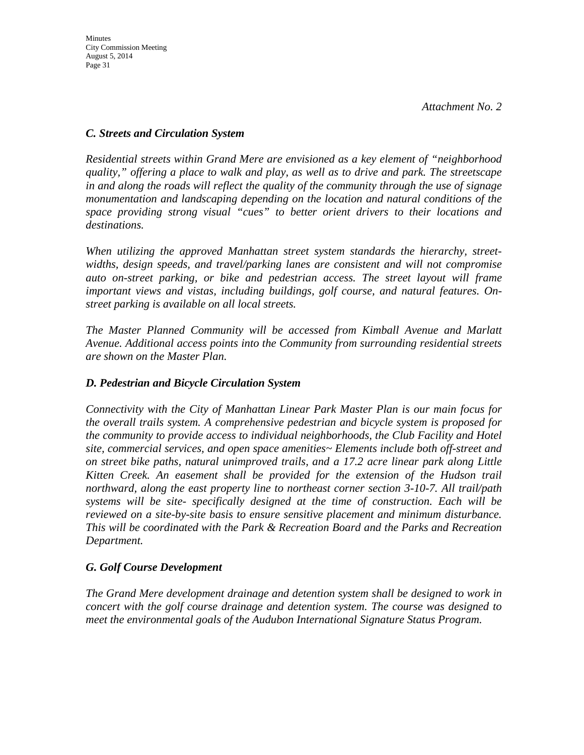#### *C. Streets and Circulation System*

*Residential streets within Grand Mere are envisioned as a key element of "neighborhood quality," offering a place to walk and play, as well as to drive and park. The streetscape in and along the roads will reflect the quality of the community through the use of signage monumentation and landscaping depending on the location and natural conditions of the space providing strong visual "cues" to better orient drivers to their locations and destinations.*

*When utilizing the approved Manhattan street system standards the hierarchy, streetwidths, design speeds, and travel/parking lanes are consistent and will not compromise*  auto on-street parking, or bike and pedestrian access. The street layout will frame *important views and vistas, including buildings, golf course, and natural features. Onstreet parking is available on all local streets.*

*The Master Planned Community will be accessed from Kimball Avenue and Marlatt Avenue. Additional access points into the Community from surrounding residential streets are shown on the Master Plan.*

#### *D. Pedestrian and Bicycle Circulation System*

*Connectivity with the City of Manhattan Linear Park Master Plan is our main focus for the overall trails system. A comprehensive pedestrian and bicycle system is proposed for the community to provide access to individual neighborhoods, the Club Facility and Hotel site, commercial services, and open space amenities~ Elements include both off-street and on street bike paths, natural unimproved trails, and a 17.2 acre linear park along Little Kitten Creek. An easement shall be provided for the extension of the Hudson trail northward, along the east property line to northeast corner section 3-10-7. All trail/path systems will be site- specifically designed at the time of construction. Each will be reviewed on a site-by-site basis to ensure sensitive placement and minimum disturbance. This will be coordinated with the Park & Recreation Board and the Parks and Recreation Department.*

#### *G. Golf Course Development*

*The Grand Mere development drainage and detention system shall be designed to work in concert with the golf course drainage and detention system. The course was designed to meet the environmental goals of the Audubon International Signature Status Program.*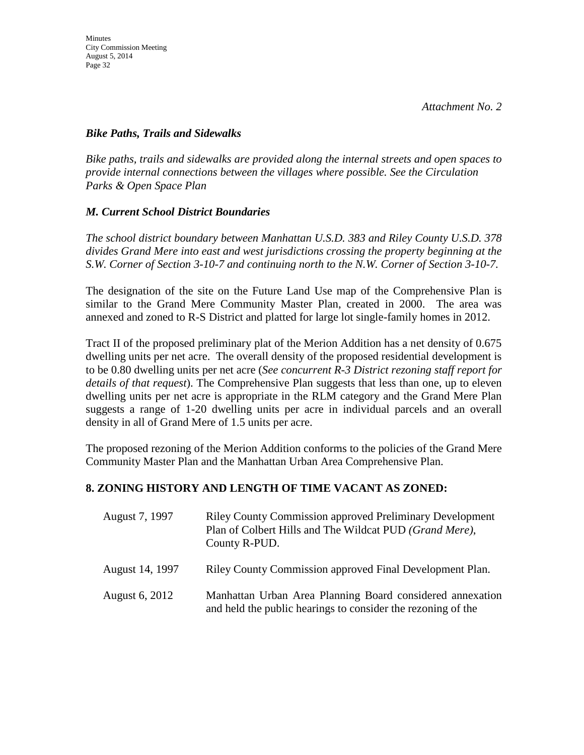#### *Bike Paths, Trails and Sidewalks*

*Bike paths, trails and sidewalks are provided along the internal streets and open spaces to provide internal connections between the villages where possible. See the Circulation Parks & Open Space Plan*

#### *M. Current School District Boundaries*

*The school district boundary between Manhattan U.S.D. 383 and Riley County U.S.D. 378 divides Grand Mere into east and west jurisdictions crossing the property beginning at the S.W. Corner of Section 3-10-7 and continuing north to the N.W. Corner of Section 3-10-7.*

The designation of the site on the Future Land Use map of the Comprehensive Plan is similar to the Grand Mere Community Master Plan, created in 2000. The area was annexed and zoned to R-S District and platted for large lot single-family homes in 2012.

Tract II of the proposed preliminary plat of the Merion Addition has a net density of 0.675 dwelling units per net acre. The overall density of the proposed residential development is to be 0.80 dwelling units per net acre (*See concurrent R-3 District rezoning staff report for details of that request*). The Comprehensive Plan suggests that less than one, up to eleven dwelling units per net acre is appropriate in the RLM category and the Grand Mere Plan suggests a range of 1-20 dwelling units per acre in individual parcels and an overall density in all of Grand Mere of 1.5 units per acre.

The proposed rezoning of the Merion Addition conforms to the policies of the Grand Mere Community Master Plan and the Manhattan Urban Area Comprehensive Plan.

### **8. ZONING HISTORY AND LENGTH OF TIME VACANT AS ZONED:**

| August 7, 1997  | <b>Riley County Commission approved Preliminary Development</b><br>Plan of Colbert Hills and The Wildcat PUD (Grand Mere),<br>County R-PUD. |
|-----------------|---------------------------------------------------------------------------------------------------------------------------------------------|
| August 14, 1997 | Riley County Commission approved Final Development Plan.                                                                                    |
| August 6, 2012  | Manhattan Urban Area Planning Board considered annexation<br>and held the public hearings to consider the rezoning of the                   |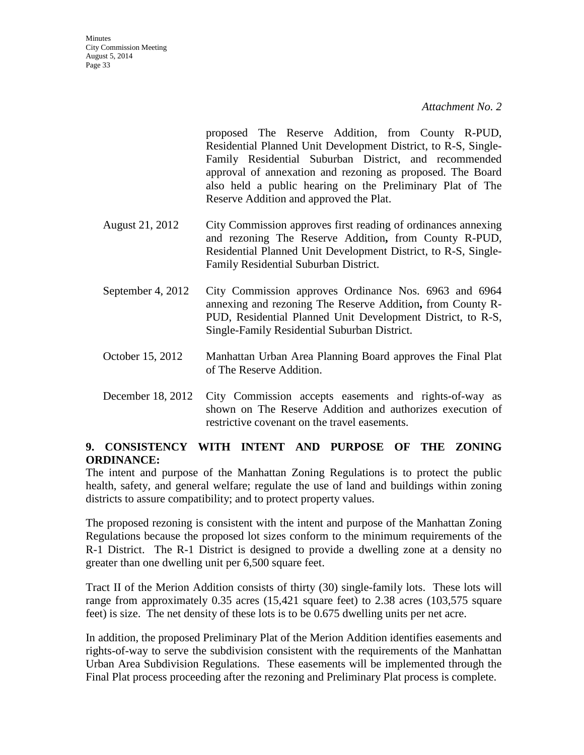proposed The Reserve Addition, from County R-PUD, Residential Planned Unit Development District, to R-S, Single-Family Residential Suburban District, and recommended approval of annexation and rezoning as proposed. The Board also held a public hearing on the Preliminary Plat of The Reserve Addition and approved the Plat.

- August 21, 2012 City Commission approves first reading of ordinances annexing and rezoning The Reserve Addition**,** from County R-PUD, Residential Planned Unit Development District, to R-S, Single-Family Residential Suburban District.
- September 4, 2012 City Commission approves Ordinance Nos. 6963 and 6964 annexing and rezoning The Reserve Addition**,** from County R-PUD, Residential Planned Unit Development District, to R-S, Single-Family Residential Suburban District.
- October 15, 2012 Manhattan Urban Area Planning Board approves the Final Plat of The Reserve Addition.
- December 18, 2012 City Commission accepts easements and rights-of-way as shown on The Reserve Addition and authorizes execution of restrictive covenant on the travel easements.

### **9. CONSISTENCY WITH INTENT AND PURPOSE OF THE ZONING ORDINANCE:**

The intent and purpose of the Manhattan Zoning Regulations is to protect the public health, safety, and general welfare; regulate the use of land and buildings within zoning districts to assure compatibility; and to protect property values.

The proposed rezoning is consistent with the intent and purpose of the Manhattan Zoning Regulations because the proposed lot sizes conform to the minimum requirements of the R-1 District. The R-1 District is designed to provide a dwelling zone at a density no greater than one dwelling unit per 6,500 square feet.

Tract II of the Merion Addition consists of thirty (30) single-family lots. These lots will range from approximately 0.35 acres (15,421 square feet) to 2.38 acres (103,575 square feet) is size. The net density of these lots is to be 0.675 dwelling units per net acre.

In addition, the proposed Preliminary Plat of the Merion Addition identifies easements and rights-of-way to serve the subdivision consistent with the requirements of the Manhattan Urban Area Subdivision Regulations. These easements will be implemented through the Final Plat process proceeding after the rezoning and Preliminary Plat process is complete.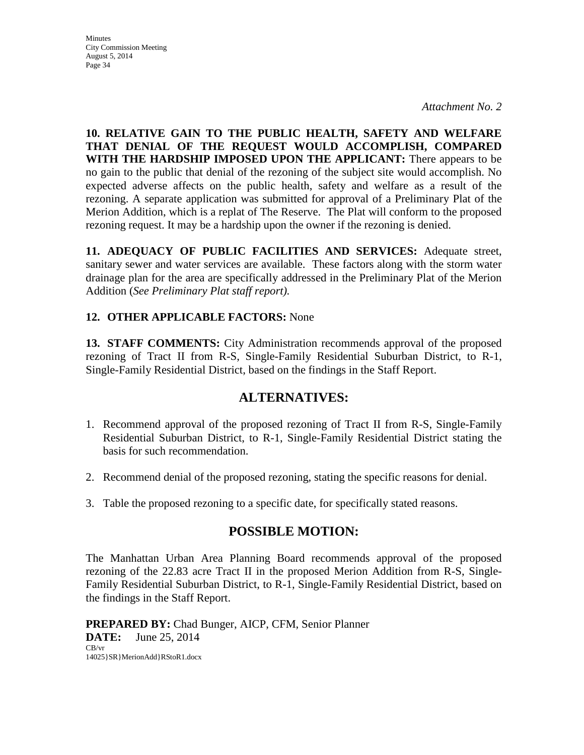*Attachment No. 2*

**10. RELATIVE GAIN TO THE PUBLIC HEALTH, SAFETY AND WELFARE THAT DENIAL OF THE REQUEST WOULD ACCOMPLISH, COMPARED WITH THE HARDSHIP IMPOSED UPON THE APPLICANT:** There appears to be no gain to the public that denial of the rezoning of the subject site would accomplish. No expected adverse affects on the public health, safety and welfare as a result of the rezoning. A separate application was submitted for approval of a Preliminary Plat of the Merion Addition, which is a replat of The Reserve. The Plat will conform to the proposed rezoning request. It may be a hardship upon the owner if the rezoning is denied.

**11. ADEQUACY OF PUBLIC FACILITIES AND SERVICES:** Adequate street, sanitary sewer and water services are available. These factors along with the storm water drainage plan for the area are specifically addressed in the Preliminary Plat of the Merion Addition (*See Preliminary Plat staff report).*

#### **12. OTHER APPLICABLE FACTORS:** None

**13. STAFF COMMENTS:** City Administration recommends approval of the proposed rezoning of Tract II from R-S, Single-Family Residential Suburban District, to R-1, Single-Family Residential District, based on the findings in the Staff Report.

### **ALTERNATIVES:**

- 1. Recommend approval of the proposed rezoning of Tract II from R-S, Single-Family Residential Suburban District, to R-1, Single-Family Residential District stating the basis for such recommendation.
- 2. Recommend denial of the proposed rezoning, stating the specific reasons for denial.
- 3. Table the proposed rezoning to a specific date, for specifically stated reasons.

### **POSSIBLE MOTION:**

The Manhattan Urban Area Planning Board recommends approval of the proposed rezoning of the 22.83 acre Tract II in the proposed Merion Addition from R-S, Single-Family Residential Suburban District, to R-1, Single-Family Residential District, based on the findings in the Staff Report.

**PREPARED BY:** Chad Bunger, AICP, CFM, Senior Planner **DATE:** June 25, 2014 CB/vr 14025}SR}MerionAdd}RStoR1.docx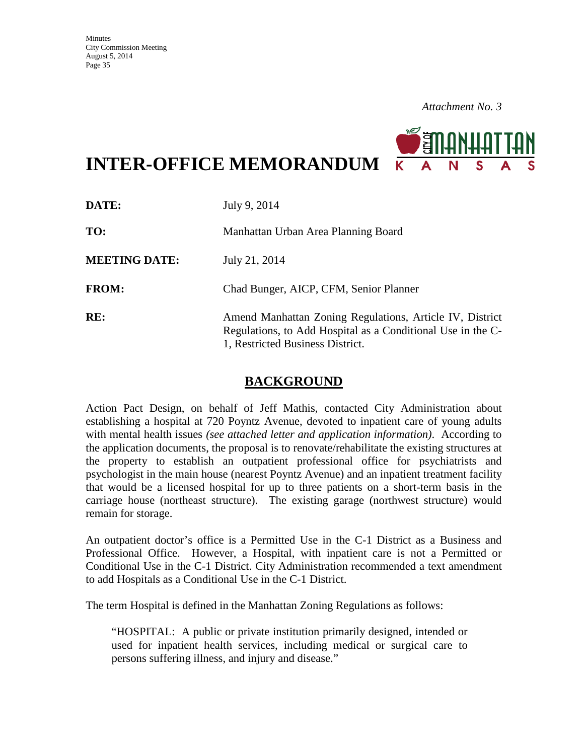

**INTER-OFFICE MEMORANDUM**

| DATE:                | July 9, 2014                                                                                                                                                |
|----------------------|-------------------------------------------------------------------------------------------------------------------------------------------------------------|
| TO:                  | Manhattan Urban Area Planning Board                                                                                                                         |
| <b>MEETING DATE:</b> | July 21, 2014                                                                                                                                               |
| <b>FROM:</b>         | Chad Bunger, AICP, CFM, Senior Planner                                                                                                                      |
| RE:                  | Amend Manhattan Zoning Regulations, Article IV, District<br>Regulations, to Add Hospital as a Conditional Use in the C-<br>1, Restricted Business District. |

### **BACKGROUND**

Action Pact Design, on behalf of Jeff Mathis, contacted City Administration about establishing a hospital at 720 Poyntz Avenue, devoted to inpatient care of young adults with mental health issues *(see attached letter and application information)*. According to the application documents, the proposal is to renovate/rehabilitate the existing structures at the property to establish an outpatient professional office for psychiatrists and psychologist in the main house (nearest Poyntz Avenue) and an inpatient treatment facility that would be a licensed hospital for up to three patients on a short-term basis in the carriage house (northeast structure). The existing garage (northwest structure) would remain for storage.

An outpatient doctor's office is a Permitted Use in the C-1 District as a Business and Professional Office. However, a Hospital, with inpatient care is not a Permitted or Conditional Use in the C-1 District. City Administration recommended a text amendment to add Hospitals as a Conditional Use in the C-1 District.

The term Hospital is defined in the Manhattan Zoning Regulations as follows:

"HOSPITAL: A public or private institution primarily designed, intended or used for inpatient health services, including medical or surgical care to persons suffering illness, and injury and disease."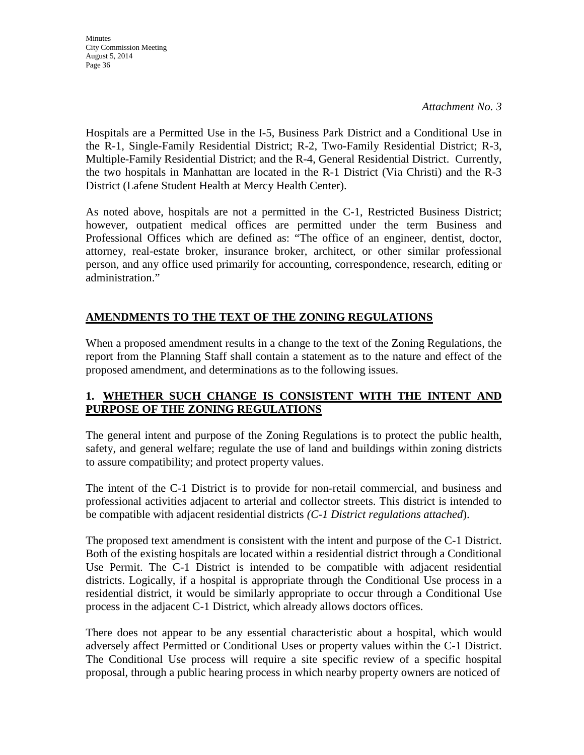*Attachment No. 3*

Hospitals are a Permitted Use in the I-5, Business Park District and a Conditional Use in the R-1, Single-Family Residential District; R-2, Two-Family Residential District; R-3, Multiple-Family Residential District; and the R-4, General Residential District. Currently, the two hospitals in Manhattan are located in the R-1 District (Via Christi) and the R-3 District (Lafene Student Health at Mercy Health Center).

As noted above, hospitals are not a permitted in the C-1, Restricted Business District; however, outpatient medical offices are permitted under the term Business and Professional Offices which are defined as: "The office of an engineer, dentist, doctor, attorney, real-estate broker, insurance broker, architect, or other similar professional person, and any office used primarily for accounting, correspondence, research, editing or administration."

### **AMENDMENTS TO THE TEXT OF THE ZONING REGULATIONS**

When a proposed amendment results in a change to the text of the Zoning Regulations, the report from the Planning Staff shall contain a statement as to the nature and effect of the proposed amendment, and determinations as to the following issues.

### **1. WHETHER SUCH CHANGE IS CONSISTENT WITH THE INTENT AND PURPOSE OF THE ZONING REGULATIONS**

The general intent and purpose of the Zoning Regulations is to protect the public health, safety, and general welfare; regulate the use of land and buildings within zoning districts to assure compatibility; and protect property values.

The intent of the C-1 District is to provide for non-retail commercial, and business and professional activities adjacent to arterial and collector streets. This district is intended to be compatible with adjacent residential districts *(C-1 District regulations attached*).

The proposed text amendment is consistent with the intent and purpose of the C-1 District. Both of the existing hospitals are located within a residential district through a Conditional Use Permit. The C-1 District is intended to be compatible with adjacent residential districts. Logically, if a hospital is appropriate through the Conditional Use process in a residential district, it would be similarly appropriate to occur through a Conditional Use process in the adjacent C-1 District, which already allows doctors offices.

There does not appear to be any essential characteristic about a hospital, which would adversely affect Permitted or Conditional Uses or property values within the C-1 District. The Conditional Use process will require a site specific review of a specific hospital proposal, through a public hearing process in which nearby property owners are noticed of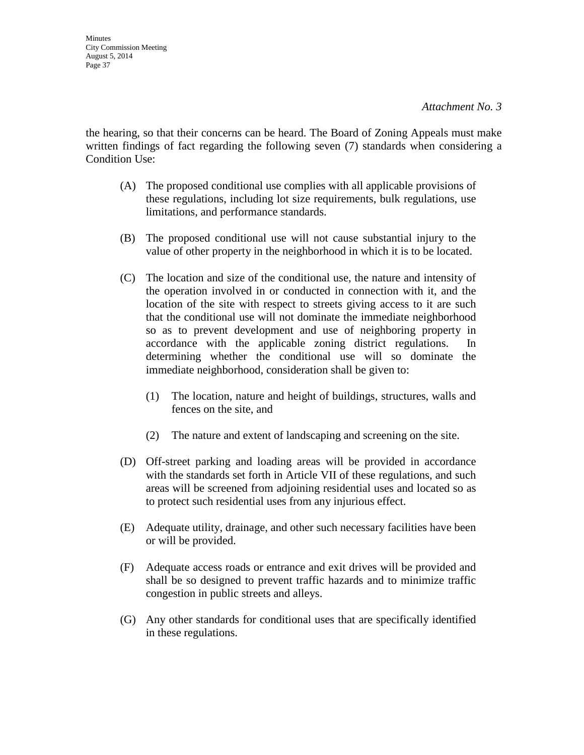the hearing, so that their concerns can be heard. The Board of Zoning Appeals must make written findings of fact regarding the following seven (7) standards when considering a Condition Use:

- (A) The proposed conditional use complies with all applicable provisions of these regulations, including lot size requirements, bulk regulations, use limitations, and performance standards.
- (B) The proposed conditional use will not cause substantial injury to the value of other property in the neighborhood in which it is to be located.
- (C) The location and size of the conditional use, the nature and intensity of the operation involved in or conducted in connection with it, and the location of the site with respect to streets giving access to it are such that the conditional use will not dominate the immediate neighborhood so as to prevent development and use of neighboring property in accordance with the applicable zoning district regulations. In determining whether the conditional use will so dominate the immediate neighborhood, consideration shall be given to:
	- (1) The location, nature and height of buildings, structures, walls and fences on the site, and
	- (2) The nature and extent of landscaping and screening on the site.
- (D) Off-street parking and loading areas will be provided in accordance with the standards set forth in Article VII of these regulations, and such areas will be screened from adjoining residential uses and located so as to protect such residential uses from any injurious effect.
- (E) Adequate utility, drainage, and other such necessary facilities have been or will be provided.
- (F) Adequate access roads or entrance and exit drives will be provided and shall be so designed to prevent traffic hazards and to minimize traffic congestion in public streets and alleys.
- (G) Any other standards for conditional uses that are specifically identified in these regulations.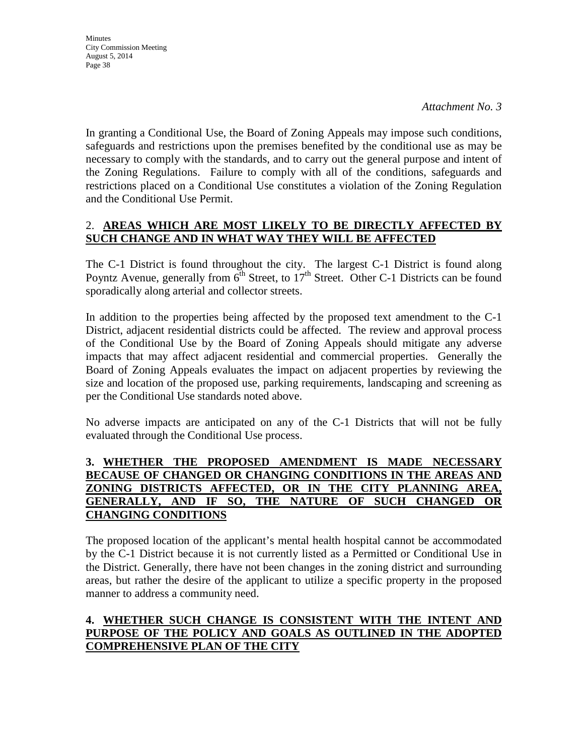In granting a Conditional Use, the Board of Zoning Appeals may impose such conditions, safeguards and restrictions upon the premises benefited by the conditional use as may be necessary to comply with the standards, and to carry out the general purpose and intent of the Zoning Regulations. Failure to comply with all of the conditions, safeguards and restrictions placed on a Conditional Use constitutes a violation of the Zoning Regulation and the Conditional Use Permit.

### 2. **AREAS WHICH ARE MOST LIKELY TO BE DIRECTLY AFFECTED BY SUCH CHANGE AND IN WHAT WAY THEY WILL BE AFFECTED**

The C-1 District is found throughout the city. The largest C-1 District is found along Poyntz Avenue, generally from  $6<sup>th</sup>$  Street, to 17<sup>th</sup> Street. Other C-1 Districts can be found sporadically along arterial and collector streets.

In addition to the properties being affected by the proposed text amendment to the C-1 District, adjacent residential districts could be affected. The review and approval process of the Conditional Use by the Board of Zoning Appeals should mitigate any adverse impacts that may affect adjacent residential and commercial properties. Generally the Board of Zoning Appeals evaluates the impact on adjacent properties by reviewing the size and location of the proposed use, parking requirements, landscaping and screening as per the Conditional Use standards noted above.

No adverse impacts are anticipated on any of the C-1 Districts that will not be fully evaluated through the Conditional Use process.

#### **3. WHETHER THE PROPOSED AMENDMENT IS MADE NECESSARY BECAUSE OF CHANGED OR CHANGING CONDITIONS IN THE AREAS AND ZONING DISTRICTS AFFECTED, OR IN THE CITY PLANNING AREA, GENERALLY, AND IF SO, THE NATURE OF SUCH CHANGED OR CHANGING CONDITIONS**

The proposed location of the applicant's mental health hospital cannot be accommodated by the C-1 District because it is not currently listed as a Permitted or Conditional Use in the District. Generally, there have not been changes in the zoning district and surrounding areas, but rather the desire of the applicant to utilize a specific property in the proposed manner to address a community need.

### **4. WHETHER SUCH CHANGE IS CONSISTENT WITH THE INTENT AND PURPOSE OF THE POLICY AND GOALS AS OUTLINED IN THE ADOPTED COMPREHENSIVE PLAN OF THE CITY**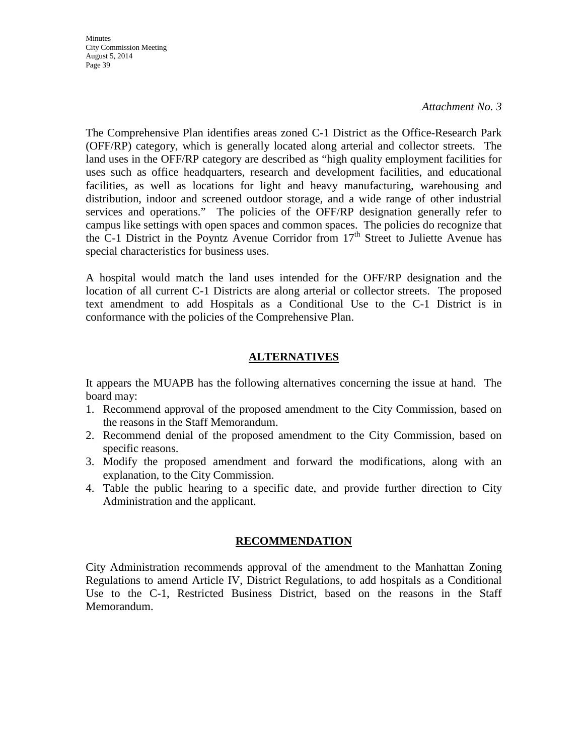#### *Attachment No. 3*

The Comprehensive Plan identifies areas zoned C-1 District as the Office-Research Park (OFF/RP) category, which is generally located along arterial and collector streets. The land uses in the OFF/RP category are described as "high quality employment facilities for uses such as office headquarters, research and development facilities, and educational facilities, as well as locations for light and heavy manufacturing, warehousing and distribution, indoor and screened outdoor storage, and a wide range of other industrial services and operations." The policies of the OFF/RP designation generally refer to campus like settings with open spaces and common spaces. The policies do recognize that the C-1 District in the Poyntz Avenue Corridor from  $17<sup>th</sup>$  Street to Juliette Avenue has special characteristics for business uses.

A hospital would match the land uses intended for the OFF/RP designation and the location of all current C-1 Districts are along arterial or collector streets. The proposed text amendment to add Hospitals as a Conditional Use to the C-1 District is in conformance with the policies of the Comprehensive Plan.

### **ALTERNATIVES**

It appears the MUAPB has the following alternatives concerning the issue at hand. The board may:

- 1. Recommend approval of the proposed amendment to the City Commission, based on the reasons in the Staff Memorandum.
- 2. Recommend denial of the proposed amendment to the City Commission, based on specific reasons.
- 3. Modify the proposed amendment and forward the modifications, along with an explanation, to the City Commission.
- 4. Table the public hearing to a specific date, and provide further direction to City Administration and the applicant.

#### **RECOMMENDATION**

City Administration recommends approval of the amendment to the Manhattan Zoning Regulations to amend Article IV, District Regulations, to add hospitals as a Conditional Use to the C-1, Restricted Business District, based on the reasons in the Staff Memorandum.